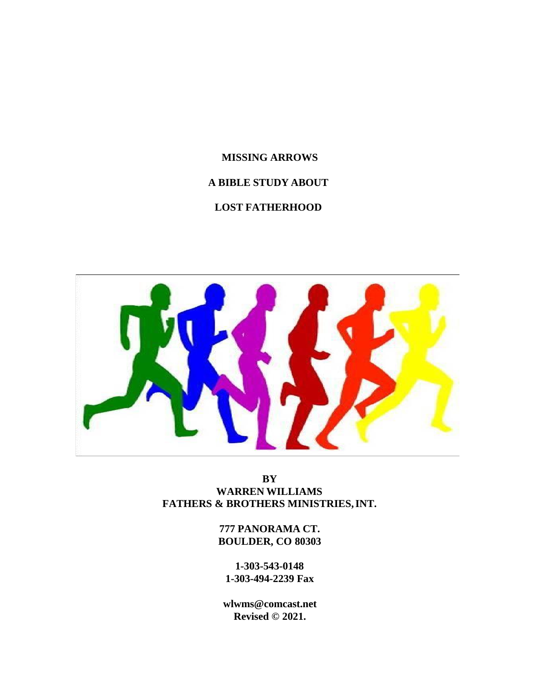# **MISSING ARROWS A BIBLE STUDY ABOUT**

# **LOST FATHERHOOD**



**BY WARREN WILLIAMS FATHERS & BROTHERS MINISTRIES,INT.**

> **777 PANORAMA CT. BOULDER, CO 80303**

**1-303-543-0148 1-303-494-2239 Fax**

**[wlwms@comcast.net](mailto:wlwms@comcast.net) Revised © 2021.**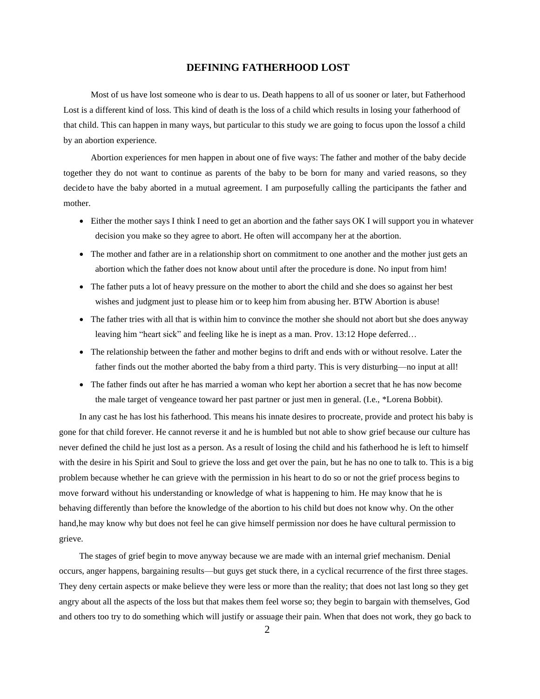# **DEFINING FATHERHOOD LOST**

Most of us have lost someone who is dear to us. Death happens to all of us sooner or later, but Fatherhood Lost is a different kind of loss. This kind of death is the loss of a child which results in losing your fatherhood of that child. This can happen in many ways, but particular to this study we are going to focus upon the lossof a child by an abortion experience.

Abortion experiences for men happen in about one of five ways: The father and mother of the baby decide together they do not want to continue as parents of the baby to be born for many and varied reasons, so they decideto have the baby aborted in a mutual agreement. I am purposefully calling the participants the father and mother.

- Either the mother says I think I need to get an abortion and the father says OK I will support you in whatever decision you make so they agree to abort. He often will accompany her at the abortion.
- The mother and father are in a relationship short on commitment to one another and the mother just gets an abortion which the father does not know about until after the procedure is done. No input from him!
- The father puts a lot of heavy pressure on the mother to abort the child and she does so against her best wishes and judgment just to please him or to keep him from abusing her. BTW Abortion is abuse!
- The father tries with all that is within him to convince the mother she should not abort but she does anyway leaving him "heart sick" and feeling like he is inept as a man. Prov. 13:12 Hope deferred…
- The relationship between the father and mother begins to drift and ends with or without resolve. Later the father finds out the mother aborted the baby from a third party. This is very disturbing—no input at all!
- The father finds out after he has married a woman who kept her abortion a secret that he has now become the male target of vengeance toward her past partner or just men in general. (I.e., \*Lorena Bobbit).

In any cast he has lost his fatherhood. This means his innate desires to procreate, provide and protect his baby is gone for that child forever. He cannot reverse it and he is humbled but not able to show grief because our culture has never defined the child he just lost as a person. As a result of losing the child and his fatherhood he is left to himself with the desire in his Spirit and Soul to grieve the loss and get over the pain, but he has no one to talk to. This is a big problem because whether he can grieve with the permission in his heart to do so or not the grief process begins to move forward without his understanding or knowledge of what is happening to him. He may know that he is behaving differently than before the knowledge of the abortion to his child but does not know why. On the other hand,he may know why but does not feel he can give himself permission nor does he have cultural permission to grieve.

The stages of grief begin to move anyway because we are made with an internal grief mechanism. Denial occurs, anger happens, bargaining results—but guys get stuck there, in a cyclical recurrence of the first three stages. They deny certain aspects or make believe they were less or more than the reality; that does not last long so they get angry about all the aspects of the loss but that makes them feel worse so; they begin to bargain with themselves, God and others too try to do something which will justify or assuage their pain. When that does not work, they go back to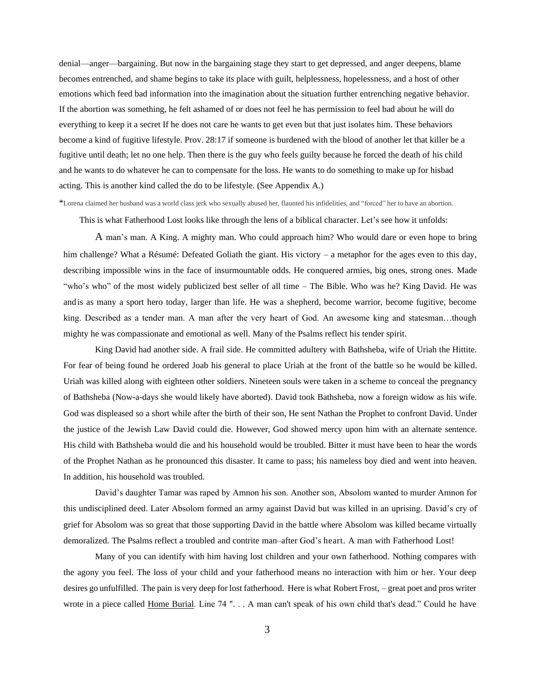denial—anger—bargaining. But now in the bargaining stage they start to get depressed, and anger deepens, blame becomes entrenched, and shame begins to take its place with guilt, helplessness, hopelessness, and a host of other emotions which feed bad information into the imagination about the situation further entrenching negative behavior. If the abortion was something, he felt ashamed of or does not feel he has permission to feel bad about he will do everything to keep it a secret If he does not care he wants to get even but that just isolates him. These behaviors become a kind of fugitive lifestyle. Prov. 28:17 if someone is burdened with the blood of another let that killer be a fugitive until death; let no one help. Then there is the guy who feels guilty because he forced the death of his child and he wants to do whatever he can to compensate for the loss. He wants to do something to make up for hisbad acting. This is another kind called the do to be lifestyle. (See Appendix A.)

\*Lorena claimed her husband was a world class jerk who sexually abused her, flaunted his infidelities, and "forced" her to have an abortion.

This is what Fatherhood Lost looks like through the lens of a biblical character. Let's see how it unfolds:

A man's man. A King. A mighty man. Who could approach him? Who would dare or even hope to bring him challenge? What a Résumé: Defeated Goliath the giant. His victory – a metaphor for the ages even to this day, describing impossible wins in the face of insurmountable odds. He conquered armies, big ones, strong ones. Made "who's who" of the most widely publicized best seller of all time – The Bible. Who was he? King David. He was and is as many a sport hero today, larger than life. He was a shepherd, become warrior, become fugitive, become king. Described as a tender man. A man after the very heart of God. An awesome king and statesman…though mighty he was compassionate and emotional as well. Many of the Psalms reflect his tender spirit.

King David had another side. A frail side. He committed adultery with Bathsheba, wife of Uriah the Hittite. For fear of being found he ordered Joab his general to place Uriah at the front of the battle so he would be killed. Uriah was killed along with eighteen other soldiers. Nineteen souls were taken in a scheme to conceal the pregnancy of Bathsheba (Now-a-days she would likely have aborted). David took Bathsheba, now a foreign widow as his wife. God was displeased so a short while after the birth of their son, He sent Nathan the Prophet to confront David. Under the justice of the Jewish Law David could die. However, God showed mercy upon him with an alternate sentence. His child with Bathsheba would die and his household would be troubled. Bitter it must have been to hear the words of the Prophet Nathan as he pronounced this disaster. It came to pass; his nameless boy died and went into heaven. In addition, his household was troubled.

David's daughter Tamar was raped by Amnon his son. Another son, Absolom wanted to murder Amnon for this undisciplined deed. Later Absolom formed an army against David but was killed in an uprising. David's cry of grief for Absolom was so great that those supporting David in the battle where Absolom was killed became virtually demoralized. The Psalms reflect a troubled and contrite man–after God's heart. A man with Fatherhood Lost!

Many of you can identify with him having lost children and your own fatherhood. Nothing compares with the agony you feel. The loss of your child and your fatherhood means no interaction with him or her. Your deep desires go unfulfilled. The pain is very deep for lost fatherhood. Here is what Robert Frost, – great poet and pros writer wrote in a piece called Home Burial. Line 74 ". . . A man can't speak of his own child that's dead." Could he have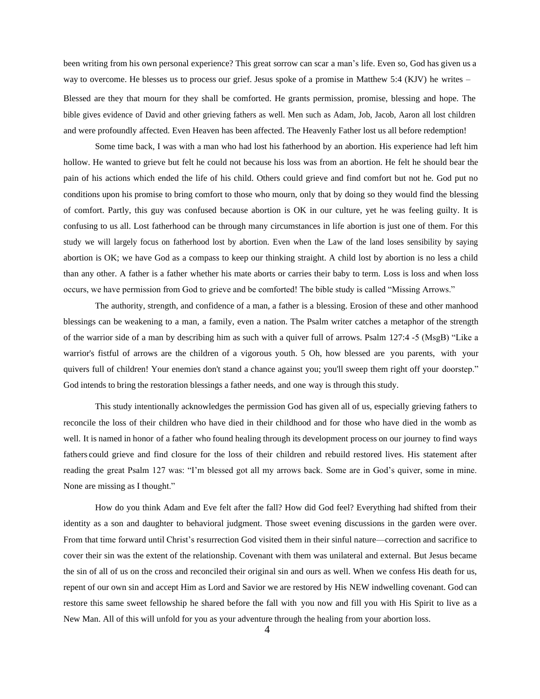been writing from his own personal experience? This great sorrow can scar a man's life. Even so, God has given us a way to overcome. He blesses us to process our grief. Jesus spoke of a promise in Matthew 5:4 (KJV) he writes – Blessed are they that mourn for they shall be comforted. He grants permission, promise, blessing and hope. The bible gives evidence of David and other grieving fathers as well. Men such as Adam, Job, Jacob, Aaron all lost children and were profoundly affected. Even Heaven has been affected. The Heavenly Father lost us all before redemption!

Some time back, I was with a man who had lost his fatherhood by an abortion. His experience had left him hollow. He wanted to grieve but felt he could not because his loss was from an abortion. He felt he should bear the pain of his actions which ended the life of his child. Others could grieve and find comfort but not he. God put no conditions upon his promise to bring comfort to those who mourn, only that by doing so they would find the blessing of comfort. Partly, this guy was confused because abortion is OK in our culture, yet he was feeling guilty. It is confusing to us all. Lost fatherhood can be through many circumstances in life abortion is just one of them. For this study we will largely focus on fatherhood lost by abortion. Even when the Law of the land loses sensibility by saying abortion is OK; we have God as a compass to keep our thinking straight. A child lost by abortion is no less a child than any other. A father is a father whether his mate aborts or carries their baby to term. Loss is loss and when loss occurs, we have permission from God to grieve and be comforted! The bible study is called "Missing Arrows."

The authority, strength, and confidence of a man, a father is a blessing. Erosion of these and other manhood blessings can be weakening to a man, a family, even a nation. The Psalm writer catches a metaphor of the strength of the warrior side of a man by describing him as such with a quiver full of arrows. Psalm 127:4 -5 (MsgB) "Like a warrior's fistful of arrows are the children of a vigorous youth. 5 Oh, how blessed are you parents, with your quivers full of children! Your enemies don't stand a chance against you; you'll sweep them right off your doorstep." God intends to bring the restoration blessings a father needs, and one way is through this study.

This study intentionally acknowledges the permission God has given all of us, especially grieving fathers to reconcile the loss of their children who have died in their childhood and for those who have died in the womb as well. It is named in honor of a father who found healing through its development process on our journey to find ways fathers could grieve and find closure for the loss of their children and rebuild restored lives. His statement after reading the great Psalm 127 was: "I'm blessed got all my arrows back. Some are in God's quiver, some in mine. None are missing as I thought."

How do you think Adam and Eve felt after the fall? How did God feel? Everything had shifted from their identity as a son and daughter to behavioral judgment. Those sweet evening discussions in the garden were over. From that time forward until Christ's resurrection God visited them in their sinful nature—correction and sacrifice to cover their sin was the extent of the relationship. Covenant with them was unilateral and external. But Jesus became the sin of all of us on the cross and reconciled their original sin and ours as well. When we confess His death for us, repent of our own sin and accept Him as Lord and Savior we are restored by His NEW indwelling covenant. God can restore this same sweet fellowship he shared before the fall with you now and fill you with His Spirit to live as a New Man. All of this will unfold for you as your adventure through the healing from your abortion loss.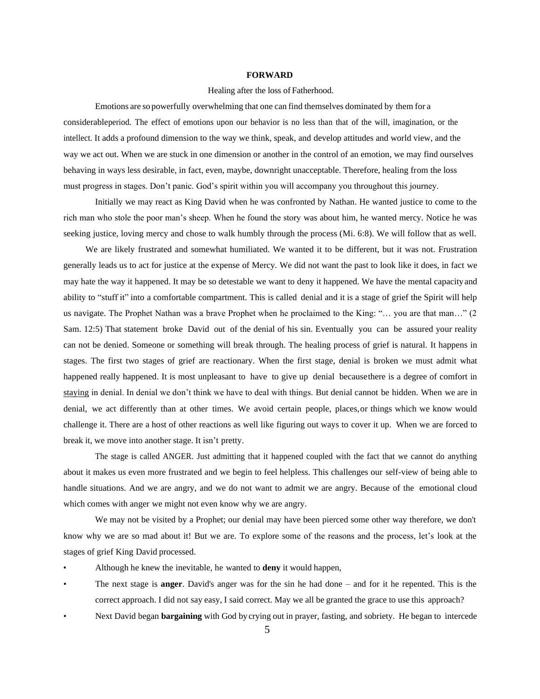### **FORWARD**

#### Healing after the loss of Fatherhood.

Emotions are so powerfully overwhelming that one can find themselves dominated by them for a considerableperiod. The effect of emotions upon our behavior is no less than that of the will, imagination, or the intellect. It adds a profound dimension to the way we think, speak, and develop attitudes and world view, and the way we act out. When we are stuck in one dimension or another in the control of an emotion, we may find ourselves behaving in ways less desirable, in fact, even, maybe, downright unacceptable. Therefore, healing from the loss must progress in stages. Don't panic. God's spirit within you will accompany you throughout this journey.

Initially we may react as King David when he was confronted by Nathan. He wanted justice to come to the rich man who stole the poor man's sheep. When he found the story was about him, he wanted mercy. Notice he was seeking justice, loving mercy and chose to walk humbly through the process (Mi. 6:8). We will follow that as well.

We are likely frustrated and somewhat humiliated. We wanted it to be different, but it was not. Frustration generally leads us to act for justice at the expense of Mercy. We did not want the past to look like it does, in fact we may hate the way it happened. It may be so detestable we want to deny it happened. We have the mental capacity and ability to "stuff it" into a comfortable compartment. This is called denial and it is a stage of grief the Spirit will help us navigate. The Prophet Nathan was a brave Prophet when he proclaimed to the King: "… you are that man…" (2 Sam. 12:5) That statement broke David out of the denial of his sin. Eventually you can be assured your reality can not be denied. Someone or something will break through. The healing process of grief is natural. It happens in stages. The first two stages of grief are reactionary. When the first stage, denial is broken we must admit what happened really happened. It is most unpleasant to have to give up denial becausethere is a degree of comfort in staying in denial. In denial we don't think we have to deal with things. But denial cannot be hidden. When we are in denial, we act differently than at other times. We avoid certain people, places,or things which we know would challenge it. There are a host of other reactions as well like figuring out ways to cover it up. When we are forced to break it, we move into another stage. It isn't pretty.

The stage is called ANGER. Just admitting that it happened coupled with the fact that we cannot do anything about it makes us even more frustrated and we begin to feel helpless. This challenges our self-view of being able to handle situations. And we are angry, and we do not want to admit we are angry. Because of the emotional cloud which comes with anger we might not even know why we are angry.

We may not be visited by a Prophet; our denial may have been pierced some other way therefore, we don't know why we are so mad about it! But we are. To explore some of the reasons and the process, let's look at the stages of grief King David processed.

- Although he knew the inevitable, he wanted to **deny** it would happen,
- The next stage is **anger**. David's anger was for the sin he had done and for it he repented. This is the correct approach. I did not say easy, I said correct. May we all be granted the grace to use this approach?
- Next David began **bargaining** with God by crying out in prayer, fasting, and sobriety. He began to intercede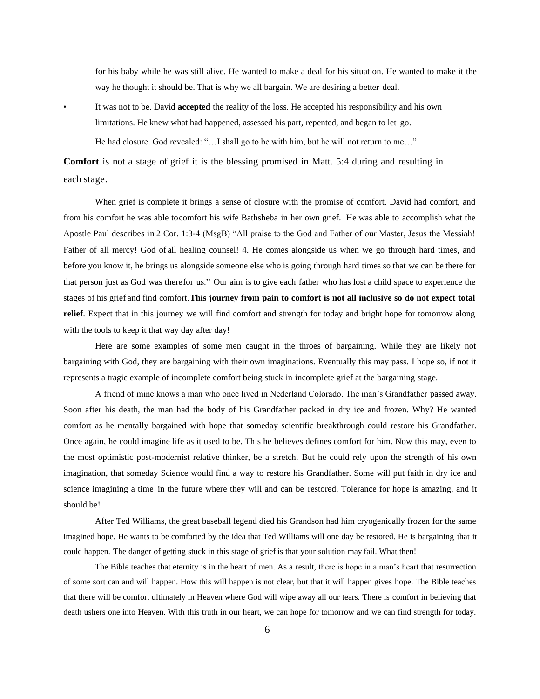for his baby while he was still alive. He wanted to make a deal for his situation. He wanted to make it the way he thought it should be. That is why we all bargain. We are desiring a better deal.

• It was not to be. David **accepted** the reality of the loss. He accepted his responsibility and his own limitations. He knew what had happened, assessed his part, repented, and began to let go. He had closure. God revealed: "…I shall go to be with him, but he will not return to me…"

**Comfort** is not a stage of grief it is the blessing promised in Matt. 5:4 during and resulting in each stage.

When grief is complete it brings a sense of closure with the promise of comfort. David had comfort, and from his comfort he was able tocomfort his wife Bathsheba in her own grief. He was able to accomplish what the Apostle Paul describes in 2 Cor. 1:3-4 (MsgB) "All praise to the God and Father of our Master, Jesus the Messiah! Father of all mercy! God of all healing counsel! 4. He comes alongside us when we go through hard times, and before you know it, he brings us alongside someone else who is going through hard times so that we can be there for that person just as God was therefor us." Our aim is to give each father who has lost a child space to experience the stages of his grief and find comfort.**This journey from pain to comfort is not all inclusive so do not expect total relief**. Expect that in this journey we will find comfort and strength for today and bright hope for tomorrow along with the tools to keep it that way day after day!

Here are some examples of some men caught in the throes of bargaining. While they are likely not bargaining with God, they are bargaining with their own imaginations. Eventually this may pass. I hope so, if not it represents a tragic example of incomplete comfort being stuck in incomplete grief at the bargaining stage.

A friend of mine knows a man who once lived in Nederland Colorado. The man's Grandfather passed away. Soon after his death, the man had the body of his Grandfather packed in dry ice and frozen. Why? He wanted comfort as he mentally bargained with hope that someday scientific breakthrough could restore his Grandfather. Once again, he could imagine life as it used to be. This he believes defines comfort for him. Now this may, even to the most optimistic post-modernist relative thinker, be a stretch. But he could rely upon the strength of his own imagination, that someday Science would find a way to restore his Grandfather. Some will put faith in dry ice and science imagining a time in the future where they will and can be restored. Tolerance for hope is amazing, and it should be!

After Ted Williams, the great baseball legend died his Grandson had him cryogenically frozen for the same imagined hope. He wants to be comforted by the idea that Ted Williams will one day be restored. He is bargaining that it could happen. The danger of getting stuck in this stage of grief is that your solution may fail. What then!

The Bible teaches that eternity is in the heart of men. As a result, there is hope in a man's heart that resurrection of some sort can and will happen. How this will happen is not clear, but that it will happen gives hope. The Bible teaches that there will be comfort ultimately in Heaven where God will wipe away all our tears. There is comfort in believing that death ushers one into Heaven. With this truth in our heart, we can hope for tomorrow and we can find strength for today.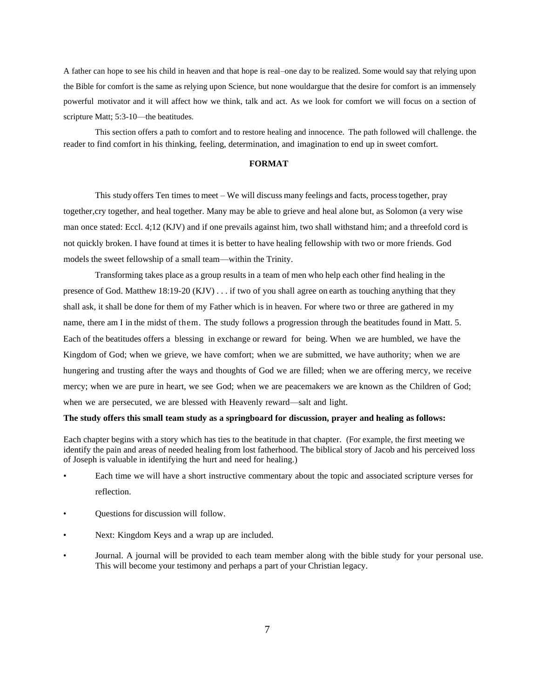A father can hope to see his child in heaven and that hope is real–one day to be realized. Some would say that relying upon the Bible for comfort is the same as relying upon Science, but none wouldargue that the desire for comfort is an immensely powerful motivator and it will affect how we think, talk and act. As we look for comfort we will focus on a section of scripture Matt; 5:3-10—the beatitudes.

This section offers a path to comfort and to restore healing and innocence. The path followed will challenge. the reader to find comfort in his thinking, feeling, determination, and imagination to end up in sweet comfort.

### **FORMAT**

This study offers Ten times to meet – We will discuss many feelings and facts, processtogether, pray together,cry together, and heal together. Many may be able to grieve and heal alone but, as Solomon (a very wise man once stated: Eccl. 4;12 (KJV) and if one prevails against him, two shall withstand him; and a threefold cord is not quickly broken. I have found at times it is better to have healing fellowship with two or more friends. God models the sweet fellowship of a small team—within the Trinity.

Transforming takes place as a group results in a team of men who help each other find healing in the presence of God. Matthew 18:19-20 (KJV) . . . if two of you shall agree on earth as touching anything that they shall ask, it shall be done for them of my Father which is in heaven. For where two or three are gathered in my name, there am I in the midst of them. The study follows a progression through the beatitudes found in Matt. 5. Each of the beatitudes offers a blessing in exchange or reward for being. When we are humbled, we have the Kingdom of God; when we grieve, we have comfort; when we are submitted, we have authority; when we are hungering and trusting after the ways and thoughts of God we are filled; when we are offering mercy, we receive mercy; when we are pure in heart, we see God; when we are peacemakers we are known as the Children of God; when we are persecuted, we are blessed with Heavenly reward—salt and light.

#### **The study offers this small team study as a springboard for discussion, prayer and healing as follows:**

Each chapter begins with a story which has ties to the beatitude in that chapter. (For example, the first meeting we identify the pain and areas of needed healing from lost fatherhood. The biblical story of Jacob and his perceived loss of Joseph is valuable in identifying the hurt and need for healing.)

- Each time we will have a short instructive commentary about the topic and associated scripture verses for reflection.
- Questions for discussion will follow.
- Next: Kingdom Keys and a wrap up are included.
- Journal. A journal will be provided to each team member along with the bible study for your personal use. This will become your testimony and perhaps a part of your Christian legacy.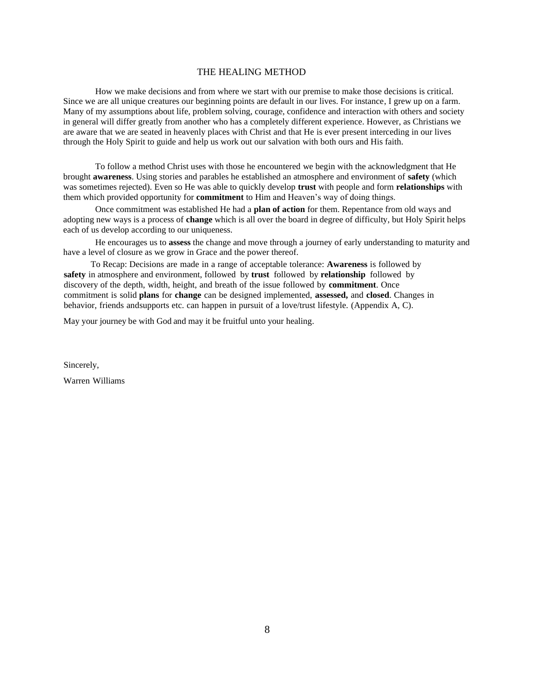# THE HEALING METHOD

How we make decisions and from where we start with our premise to make those decisions is critical. Since we are all unique creatures our beginning points are default in our lives. For instance, I grew up on a farm. Many of my assumptions about life, problem solving, courage, confidence and interaction with others and society in general will differ greatly from another who has a completely different experience. However, as Christians we are aware that we are seated in heavenly places with Christ and that He is ever present interceding in our lives through the Holy Spirit to guide and help us work out our salvation with both ours and His faith.

To follow a method Christ uses with those he encountered we begin with the acknowledgment that He brought **awareness**. Using stories and parables he established an atmosphere and environment of **safety** (which was sometimes rejected). Even so He was able to quickly develop **trust** with people and form **relationships** with them which provided opportunity for **commitment** to Him and Heaven's way of doing things.

Once commitment was established He had a **plan of action** for them. Repentance from old ways and adopting new ways is a process of **change** which is all over the board in degree of difficulty, but Holy Spirit helps each of us develop according to our uniqueness.

He encourages us to **assess** the change and move through a journey of early understanding to maturity and have a level of closure as we grow in Grace and the power thereof.

To Recap: Decisions are made in a range of acceptable tolerance: **Awareness** is followed by **safety** in atmosphere and environment, followed by **trust** followed by **relationship** followed by discovery of the depth, width, height, and breath of the issue followed by **commitment**. Once commitment is solid **plans** for **change** can be designed implemented, **assessed,** and **closed**. Changes in behavior, friends andsupports etc. can happen in pursuit of a love/trust lifestyle. (Appendix A, C).

May your journey be with God and may it be fruitful unto your healing.

Sincerely,

Warren Williams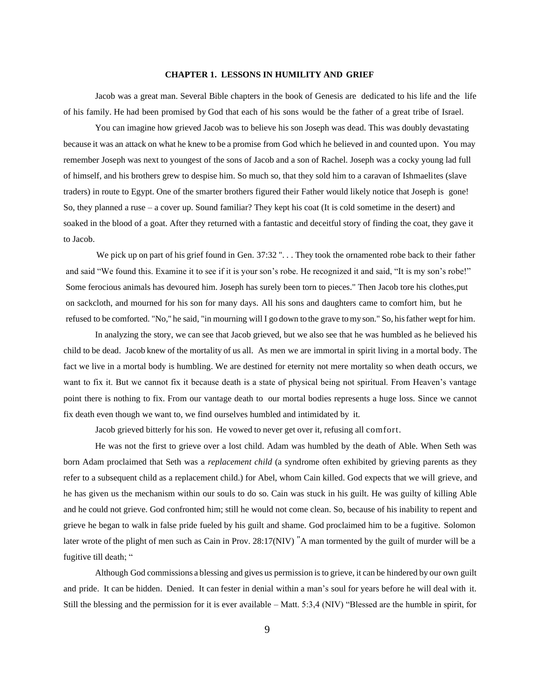#### **CHAPTER 1. LESSONS IN HUMILITY AND GRIEF**

Jacob was a great man. Several Bible chapters in the book of Genesis are dedicated to his life and the life of his family. He had been promised by God that each of his sons would be the father of a great tribe of Israel.

You can imagine how grieved Jacob was to believe his son Joseph was dead. This was doubly devastating because it was an attack on what he knew to be a promise from God which he believed in and counted upon. You may remember Joseph was next to youngest of the sons of Jacob and a son of Rachel. Joseph was a cocky young lad full of himself, and his brothers grew to despise him. So much so, that they sold him to a caravan of Ishmaelites (slave traders) in route to Egypt. One of the smarter brothers figured their Father would likely notice that Joseph is gone! So, they planned a ruse – a cover up. Sound familiar? They kept his coat (It is cold sometime in the desert) and soaked in the blood of a goat. After they returned with a fantastic and deceitful story of finding the coat, they gave it to Jacob.

We pick up on part of his grief found in Gen.  $37:32$  "... They took the ornamented robe back to their father and said "We found this. Examine it to see if it is your son's robe. He recognized it and said, "It is my son's robe!" Some ferocious animals has devoured him. Joseph has surely been torn to pieces." Then Jacob tore his clothes,put on sackcloth, and mourned for his son for many days. All his sons and daughters came to comfort him, but he refused to be comforted. "No," he said, "in mourning will I go down to the grave tomy son." So, hisfather wept for him.

In analyzing the story, we can see that Jacob grieved, but we also see that he was humbled as he believed his child to be dead. Jacob knew of the mortality of us all. As men we are immortal in spirit living in a mortal body. The fact we live in a mortal body is humbling. We are destined for eternity not mere mortality so when death occurs, we want to fix it. But we cannot fix it because death is a state of physical being not spiritual. From Heaven's vantage point there is nothing to fix. From our vantage death to our mortal bodies represents a huge loss. Since we cannot fix death even though we want to, we find ourselves humbled and intimidated by it.

Jacob grieved bitterly for his son. He vowed to never get over it, refusing all comfort.

He was not the first to grieve over a lost child. Adam was humbled by the death of Able. When Seth was born Adam proclaimed that Seth was a *replacement child* (a syndrome often exhibited by grieving parents as they refer to a subsequent child as a replacement child.) for Abel, whom Cain killed. God expects that we will grieve, and he has given us the mechanism within our souls to do so. Cain was stuck in his guilt. He was guilty of killing Able and he could not grieve. God confronted him; still he would not come clean. So, because of his inability to repent and grieve he began to walk in false pride fueled by his guilt and shame. God proclaimed him to be a fugitive. Solomon later wrote of the plight of men such as Cain in Prov. 28:17(NIV) "A man tormented by the guilt of murder will be a fugitive till death; "

Although God commissions a blessing and gives us permission is to grieve, it can be hindered by our own guilt and pride. It can be hidden. Denied. It can fester in denial within a man's soul for years before he will deal with it. Still the blessing and the permission for it is ever available – Matt. 5:3,4 (NIV) "Blessed are the humble in spirit, for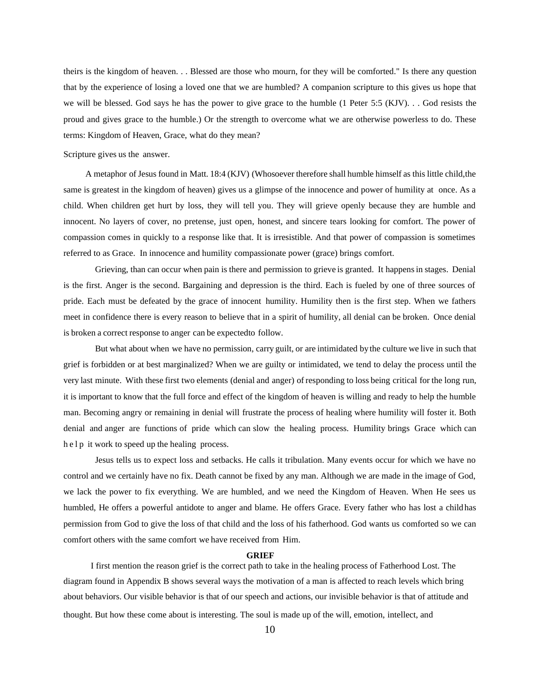theirs is the kingdom of heaven. . . Blessed are those who mourn, for they will be comforted." Is there any question that by the experience of losing a loved one that we are humbled? A companion scripture to this gives us hope that we will be blessed. God says he has the power to give grace to the humble (1 Peter 5:5 (KJV). . . God resists the proud and gives grace to the humble.) Or the strength to overcome what we are otherwise powerless to do. These terms: Kingdom of Heaven, Grace, what do they mean?

Scripture gives us the answer.

A metaphor of Jesus found in Matt. 18:4 (KJV) (Whosoever therefore shall humble himself as this little child,the same is greatest in the kingdom of heaven) gives us a glimpse of the innocence and power of humility at once. As a child. When children get hurt by loss, they will tell you. They will grieve openly because they are humble and innocent. No layers of cover, no pretense, just open, honest, and sincere tears looking for comfort. The power of compassion comes in quickly to a response like that. It is irresistible. And that power of compassion is sometimes referred to as Grace. In innocence and humility compassionate power (grace) brings comfort.

Grieving, than can occur when pain is there and permission to grieve is granted. It happensin stages. Denial is the first. Anger is the second. Bargaining and depression is the third. Each is fueled by one of three sources of pride. Each must be defeated by the grace of innocent humility. Humility then is the first step. When we fathers meet in confidence there is every reason to believe that in a spirit of humility, all denial can be broken. Once denial is broken a correct response to anger can be expectedto follow.

But what about when we have no permission, carry guilt, or are intimidated by the culture we live in such that grief is forbidden or at best marginalized? When we are guilty or intimidated, we tend to delay the process until the very last minute. With these first two elements (denial and anger) of responding to loss being critical for the long run, it is important to know that the full force and effect of the kingdom of heaven is willing and ready to help the humble man. Becoming angry or remaining in denial will frustrate the process of healing where humility will foster it. Both denial and anger are functions of pride which can slow the healing process. Humility brings Grace which can h e l p it work to speed up the healing process.

Jesus tells us to expect loss and setbacks. He calls it tribulation. Many events occur for which we have no control and we certainly have no fix. Death cannot be fixed by any man. Although we are made in the image of God, we lack the power to fix everything. We are humbled, and we need the Kingdom of Heaven. When He sees us humbled, He offers a powerful antidote to anger and blame. He offers Grace. Every father who has lost a child has permission from God to give the loss of that child and the loss of his fatherhood. God wants us comforted so we can comfort others with the same comfort we have received from Him.

#### **GRIEF**

I first mention the reason grief is the correct path to take in the healing process of Fatherhood Lost. The diagram found in Appendix B shows several ways the motivation of a man is affected to reach levels which bring about behaviors. Our visible behavior is that of our speech and actions, our invisible behavior is that of attitude and thought. But how these come about is interesting. The soul is made up of the will, emotion, intellect, and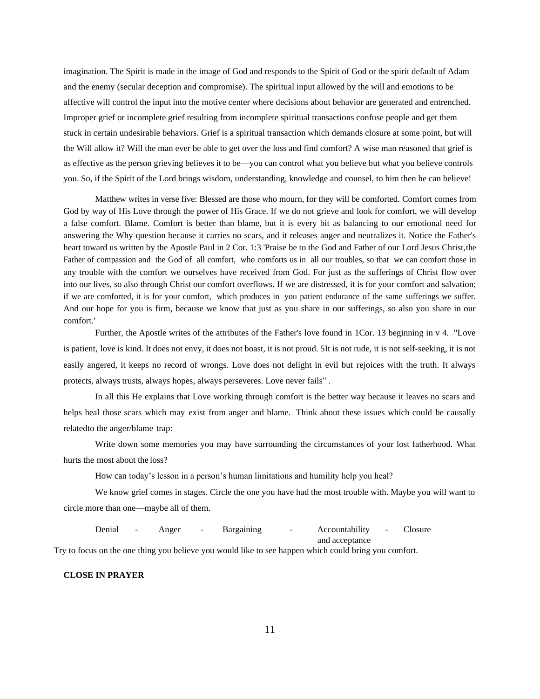imagination. The Spirit is made in the image of God and responds to the Spirit of God or the spirit default of Adam and the enemy (secular deception and compromise). The spiritual input allowed by the will and emotions to be affective will control the input into the motive center where decisions about behavior are generated and entrenched. Improper grief or incomplete grief resulting from incomplete spiritual transactions confuse people and get them stuck in certain undesirable behaviors. Grief is a spiritual transaction which demands closure at some point, but will the Will allow it? Will the man ever be able to get over the loss and find comfort? A wise man reasoned that grief is as effective as the person grieving believes it to be—you can control what you believe but what you believe controls you. So, if the Spirit of the Lord brings wisdom, understanding, knowledge and counsel, to him then he can believe!

Matthew writes in verse five: Blessed are those who mourn, for they will be comforted. Comfort comes from God by way of His Love through the power of His Grace. If we do not grieve and look for comfort, we will develop a false comfort. Blame. Comfort is better than blame, but it is every bit as balancing to our emotional need for answering the Why question because it carries no scars, and it releases anger and neutralizes it. Notice the Father's heart toward us written by the Apostle Paul in 2 Cor. 1:3 'Praise be to the God and Father of our Lord Jesus Christ,the Father of compassion and the God of all comfort, who comforts us in all our troubles, so that we can comfort those in any trouble with the comfort we ourselves have received from God. For just as the sufferings of Christ flow over into our lives, so also through Christ our comfort overflows. If we are distressed, it is for your comfort and salvation; if we are comforted, it is for your comfort, which produces in you patient endurance of the same sufferings we suffer. And our hope for you is firm, because we know that just as you share in our sufferings, so also you share in our comfort.'

Further, the Apostle writes of the attributes of the Father's love found in 1Cor. 13 beginning in v 4. "Love is patient, love is kind. It does not envy, it does not boast, it is not proud. 5It is not rude, it is not self-seeking, it is not easily angered, it keeps no record of wrongs. Love does not delight in evil but rejoices with the truth. It always protects, always trusts, always hopes, always perseveres. Love never fails" .

In all this He explains that Love working through comfort is the better way because it leaves no scars and helps heal those scars which may exist from anger and blame. Think about these issues which could be causally relatedto the anger/blame trap:

Write down some memories you may have surrounding the circumstances of your lost fatherhood. What hurts the most about the loss?

How can today's lesson in a person's human limitations and humility help you heal?

We know grief comes in stages. Circle the one you have had the most trouble with. Maybe you will want to circle more than one—maybe all of them.

Denial - Anger - Bargaining - Accountability - Closure and acceptance Try to focus on the one thing you believe you would like to see happen which could bring you comfort.

#### **CLOSE IN PRAYER**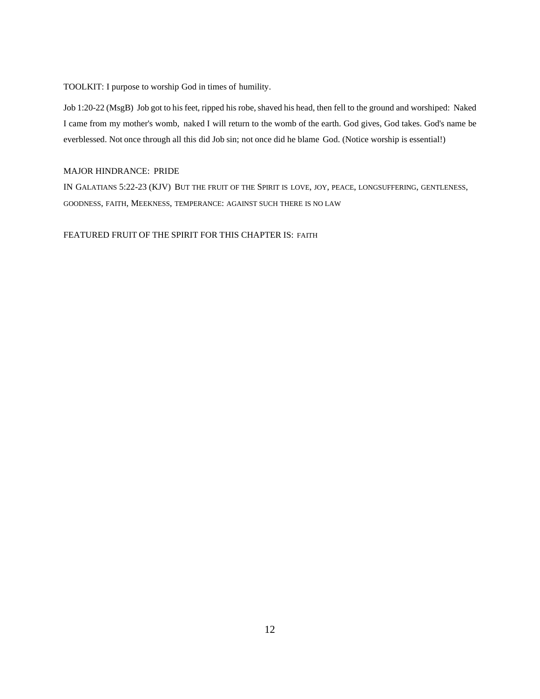TOOLKIT: I purpose to worship God in times of humility.

Job 1:20-22 (MsgB) Job got to his feet, ripped his robe, shaved his head, then fell to the ground and worshiped: Naked I came from my mother's womb, naked I will return to the womb of the earth. God gives, God takes. God's name be everblessed. Not once through all this did Job sin; not once did he blame God. (Notice worship is essential!)

# MAJOR HINDRANCE: PRIDE

IN GALATIANS 5:22-23 (KJV) BUT THE FRUIT OF THE SPIRIT IS LOVE, JOY, PEACE, LONGSUFFERING, GENTLENESS, GOODNESS, FAITH, MEEKNESS, TEMPERANCE: AGAINST SUCH THERE IS NO LAW

FEATURED FRUIT OF THE SPIRIT FOR THIS CHAPTER IS: FAITH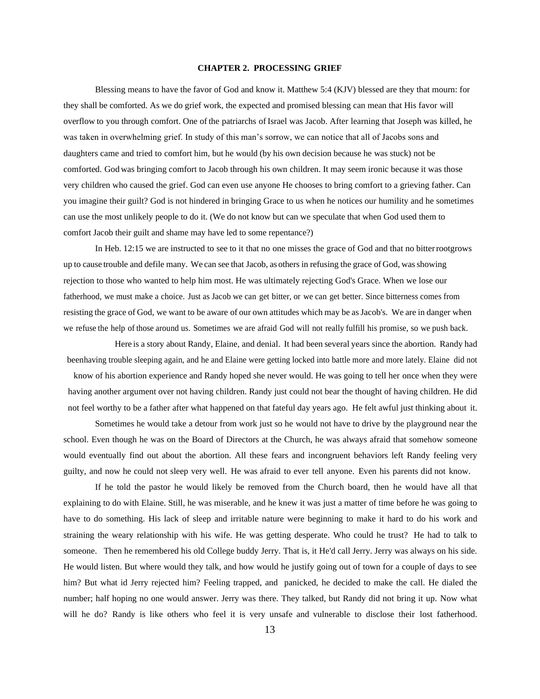# **CHAPTER 2. PROCESSING GRIEF**

Blessing means to have the favor of God and know it. Matthew 5:4 (KJV) blessed are they that mourn: for they shall be comforted. As we do grief work, the expected and promised blessing can mean that His favor will overflow to you through comfort. One of the patriarchs of Israel was Jacob. After learning that Joseph was killed, he was taken in overwhelming grief. In study of this man's sorrow, we can notice that all of Jacobs sons and daughters came and tried to comfort him, but he would (by his own decision because he was stuck) not be comforted. God was bringing comfort to Jacob through his own children. It may seem ironic because it was those very children who caused the grief. God can even use anyone He chooses to bring comfort to a grieving father. Can you imagine their guilt? God is not hindered in bringing Grace to us when he notices our humility and he sometimes can use the most unlikely people to do it. (We do not know but can we speculate that when God used them to comfort Jacob their guilt and shame may have led to some repentance?)

In Heb. 12:15 we are instructed to see to it that no one misses the grace of God and that no bitterrootgrows up to cause trouble and defile many. We can see that Jacob, as others in refusing the grace of God, wasshowing rejection to those who wanted to help him most. He was ultimately rejecting God's Grace. When we lose our fatherhood, we must make a choice. Just as Jacob we can get bitter, or we can get better. Since bitterness comes from resisting the grace of God, we want to be aware of our own attitudes which may be asJacob's. We are in danger when we refuse the help of those around us. Sometimes we are afraid God will not really fulfill his promise, so we push back.

Here is a story about Randy, Elaine, and denial. It had been several years since the abortion. Randy had beenhaving trouble sleeping again, and he and Elaine were getting locked into battle more and more lately. Elaine did not know of his abortion experience and Randy hoped she never would. He was going to tell her once when they were

having another argument over not having children. Randy just could not bear the thought of having children. He did not feel worthy to be a father after what happened on that fateful day years ago. He felt awful just thinking about it.

Sometimes he would take a detour from work just so he would not have to drive by the playground near the school. Even though he was on the Board of Directors at the Church, he was always afraid that somehow someone would eventually find out about the abortion. All these fears and incongruent behaviors left Randy feeling very guilty, and now he could not sleep very well. He was afraid to ever tell anyone. Even his parents did not know.

If he told the pastor he would likely be removed from the Church board, then he would have all that explaining to do with Elaine. Still, he was miserable, and he knew it was just a matter of time before he was going to have to do something. His lack of sleep and irritable nature were beginning to make it hard to do his work and straining the weary relationship with his wife. He was getting desperate. Who could he trust? He had to talk to someone. Then he remembered his old College buddy Jerry. That is, it He'd call Jerry. Jerry was always on his side. He would listen. But where would they talk, and how would he justify going out of town for a couple of days to see him? But what id Jerry rejected him? Feeling trapped, and panicked, he decided to make the call. He dialed the number; half hoping no one would answer. Jerry was there. They talked, but Randy did not bring it up. Now what will he do? Randy is like others who feel it is very unsafe and vulnerable to disclose their lost fatherhood.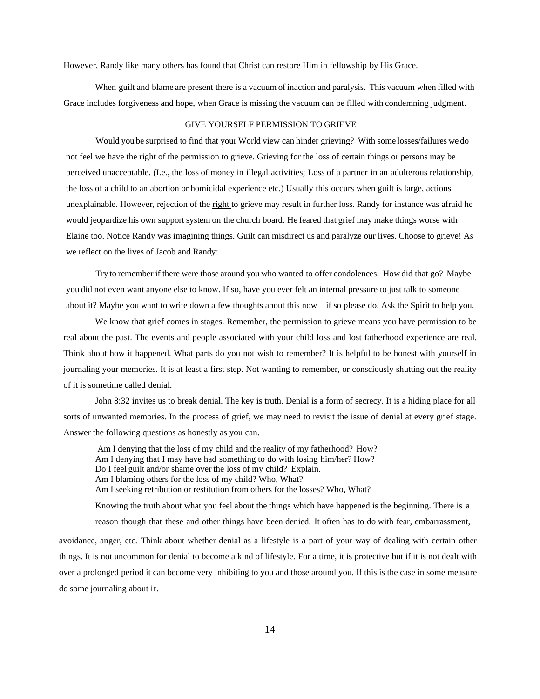However, Randy like many others has found that Christ can restore Him in fellowship by His Grace.

When guilt and blame are present there is a vacuum of inaction and paralysis. This vacuum when filled with Grace includes forgiveness and hope, when Grace is missing the vacuum can be filled with condemning judgment.

#### GIVE YOURSELF PERMISSION TO GRIEVE

Would you be surprised to find that your World view can hinder grieving? With some losses/failures we do not feel we have the right of the permission to grieve. Grieving for the loss of certain things or persons may be perceived unacceptable. (I.e., the loss of money in illegal activities; Loss of a partner in an adulterous relationship, the loss of a child to an abortion or homicidal experience etc.) Usually this occurs when guilt is large, actions unexplainable. However, rejection of the right to grieve may result in further loss. Randy for instance was afraid he would jeopardize his own support system on the church board. He feared that grief may make things worse with Elaine too. Notice Randy was imagining things. Guilt can misdirect us and paralyze our lives. Choose to grieve! As we reflect on the lives of Jacob and Randy:

Try to remember if there were those around you who wanted to offer condolences. How did that go? Maybe you did not even want anyone else to know. If so, have you ever felt an internal pressure to just talk to someone about it? Maybe you want to write down a few thoughts about this now—if so please do. Ask the Spirit to help you.

We know that grief comes in stages. Remember, the permission to grieve means you have permission to be real about the past. The events and people associated with your child loss and lost fatherhood experience are real. Think about how it happened. What parts do you not wish to remember? It is helpful to be honest with yourself in journaling your memories. It is at least a first step. Not wanting to remember, or consciously shutting out the reality of it is sometime called denial.

John 8:32 invites us to break denial. The key is truth. Denial is a form of secrecy. It is a hiding place for all sorts of unwanted memories. In the process of grief, we may need to revisit the issue of denial at every grief stage. Answer the following questions as honestly as you can.

Am I denying that the loss of my child and the reality of my fatherhood? How? Am I denying that I may have had something to do with losing him/her? How? Do I feel guilt and/or shame over the loss of my child? Explain. Am I blaming others for the loss of my child? Who, What? Am I seeking retribution or restitution from others for the losses? Who, What? Knowing the truth about what you feel about the things which have happened is the beginning. There is a reason though that these and other things have been denied. It often has to do with fear, embarrassment,

avoidance, anger, etc. Think about whether denial as a lifestyle is a part of your way of dealing with certain other things. It is not uncommon for denial to become a kind of lifestyle. For a time, it is protective but if it is not dealt with over a prolonged period it can become very inhibiting to you and those around you. If this is the case in some measure do some journaling about it.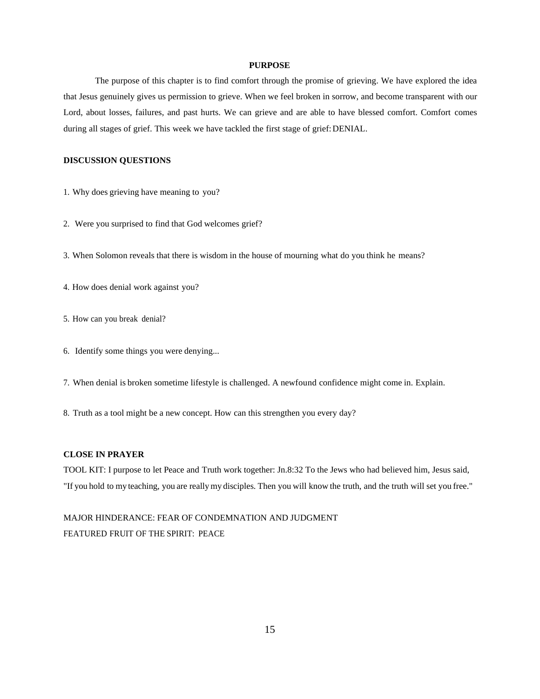#### **PURPOSE**

The purpose of this chapter is to find comfort through the promise of grieving. We have explored the idea that Jesus genuinely gives us permission to grieve. When we feel broken in sorrow, and become transparent with our Lord, about losses, failures, and past hurts. We can grieve and are able to have blessed comfort. Comfort comes during all stages of grief. This week we have tackled the first stage of grief: DENIAL.

# **DISCUSSION QUESTIONS**

- 1. Why does grieving have meaning to you?
- 2. Were you surprised to find that God welcomes grief?
- 3. When Solomon reveals that there is wisdom in the house of mourning what do you think he means?
- 4. How does denial work against you?
- 5. How can you break denial?
- 6. Identify some things you were denying...
- 7. When denial is broken sometime lifestyle is challenged. A newfound confidence might come in. Explain.
- 8. Truth as a tool might be a new concept. How can this strengthen you every day?

### **CLOSE IN PRAYER**

TOOL KIT: I purpose to let Peace and Truth work together: Jn.8:32 To the Jews who had believed him, Jesus said, "If you hold to my teaching, you are reallymy disciples. Then you will know the truth, and the truth will set you free."

MAJOR HINDERANCE: FEAR OF CONDEMNATION AND JUDGMENT FEATURED FRUIT OF THE SPIRIT: PEACE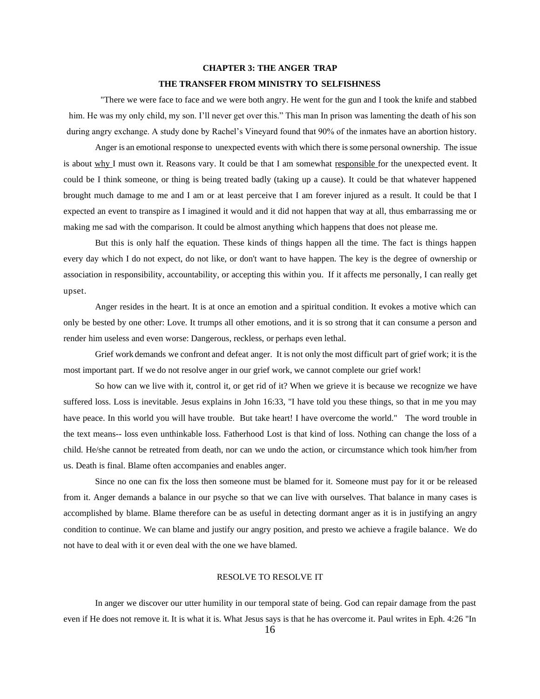# **CHAPTER 3: THE ANGER TRAP**

# **THE TRANSFER FROM MINISTRY TO SELFISHNESS**

"There we were face to face and we were both angry. He went for the gun and I took the knife and stabbed him. He was my only child, my son. I'll never get over this." This man In prison was lamenting the death of his son during angry exchange. A study done by Rachel's Vineyard found that 90% of the inmates have an abortion history.

Anger is an emotional response to unexpected events with which there issome personal ownership. The issue is about why I must own it. Reasons vary. It could be that I am somewhat responsible for the unexpected event. It could be I think someone, or thing is being treated badly (taking up a cause). It could be that whatever happened brought much damage to me and I am or at least perceive that I am forever injured as a result. It could be that I expected an event to transpire as I imagined it would and it did not happen that way at all, thus embarrassing me or making me sad with the comparison. It could be almost anything which happens that does not please me.

But this is only half the equation. These kinds of things happen all the time. The fact is things happen every day which I do not expect, do not like, or don't want to have happen. The key is the degree of ownership or association in responsibility, accountability, or accepting this within you. If it affects me personally, I can really get upset.

Anger resides in the heart. It is at once an emotion and a spiritual condition. It evokes a motive which can only be bested by one other: Love. It trumps all other emotions, and it is so strong that it can consume a person and render him useless and even worse: Dangerous, reckless, or perhaps even lethal.

Grief work demands we confront and defeat anger. It is not only the most difficult part of grief work; it is the most important part. If we do not resolve anger in our grief work, we cannot complete our grief work!

So how can we live with it, control it, or get rid of it? When we grieve it is because we recognize we have suffered loss. Loss is inevitable. Jesus explains in John 16:33, "I have told you these things, so that in me you may have peace. In this world you will have trouble. But take heart! I have overcome the world." The word trouble in the text means-- loss even unthinkable loss. Fatherhood Lost is that kind of loss. Nothing can change the loss of a child. He/she cannot be retreated from death, nor can we undo the action, or circumstance which took him/her from us. Death is final. Blame often accompanies and enables anger.

Since no one can fix the loss then someone must be blamed for it. Someone must pay for it or be released from it. Anger demands a balance in our psyche so that we can live with ourselves. That balance in many cases is accomplished by blame. Blame therefore can be as useful in detecting dormant anger as it is in justifying an angry condition to continue. We can blame and justify our angry position, and presto we achieve a fragile balance. We do not have to deal with it or even deal with the one we have blamed.

# RESOLVE TO RESOLVE IT

In anger we discover our utter humility in our temporal state of being. God can repair damage from the past even if He does not remove it. It is what it is. What Jesus says is that he has overcome it. Paul writes in Eph. 4:26 "In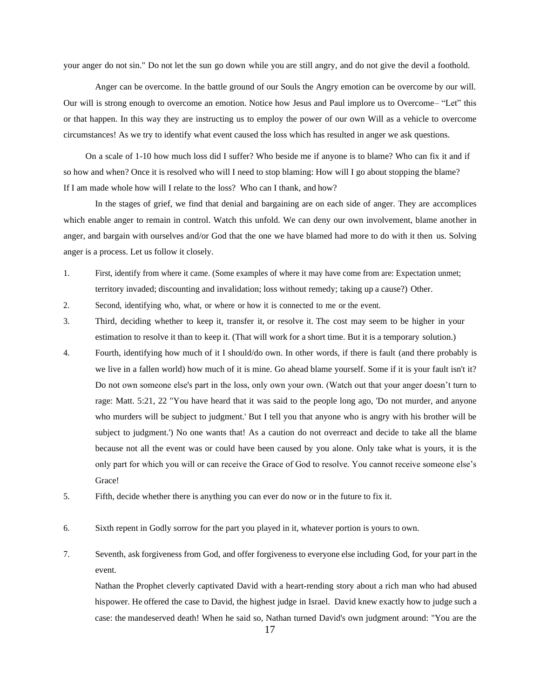your anger do not sin." Do not let the sun go down while you are still angry, and do not give the devil a foothold.

Anger can be overcome. In the battle ground of our Souls the Angry emotion can be overcome by our will. Our will is strong enough to overcome an emotion. Notice how Jesus and Paul implore us to Overcome– "Let" this or that happen. In this way they are instructing us to employ the power of our own Will as a vehicle to overcome circumstances! As we try to identify what event caused the loss which has resulted in anger we ask questions.

On a scale of 1-10 how much loss did I suffer? Who beside me if anyone is to blame? Who can fix it and if so how and when? Once it is resolved who will I need to stop blaming: How will I go about stopping the blame? If I am made whole how will I relate to the loss? Who can I thank, and how?

In the stages of grief, we find that denial and bargaining are on each side of anger. They are accomplices which enable anger to remain in control. Watch this unfold. We can deny our own involvement, blame another in anger, and bargain with ourselves and/or God that the one we have blamed had more to do with it then us. Solving anger is a process. Let us follow it closely.

- 1. First, identify from where it came. (Some examples of where it may have come from are: Expectation unmet; territory invaded; discounting and invalidation; loss without remedy; taking up a cause?) Other.
- 2. Second, identifying who, what, or where or how it is connected to me or the event.
- 3. Third, deciding whether to keep it, transfer it, or resolve it. The cost may seem to be higher in your estimation to resolve it than to keep it. (That will work for a short time. But it is a temporary solution.)
- 4. Fourth, identifying how much of it I should/do own. In other words, if there is fault (and there probably is we live in a fallen world) how much of it is mine. Go ahead blame yourself. Some if it is your fault isn't it? Do not own someone else's part in the loss, only own your own. (Watch out that your anger doesn't turn to rage: Matt. 5:21, 22 "You have heard that it was said to the people long ago, 'Do not murder, and anyone who murders will be subject to judgment.' But I tell you that anyone who is angry with his brother will be subject to judgment.') No one wants that! As a caution do not overreact and decide to take all the blame because not all the event was or could have been caused by you alone. Only take what is yours, it is the only part for which you will or can receive the Grace of God to resolve. You cannot receive someone else's Grace!
- 5. Fifth, decide whether there is anything you can ever do now or in the future to fix it.
- 6. Sixth repent in Godly sorrow for the part you played in it, whatever portion is yours to own.
- 7. Seventh, ask forgiveness from God, and offer forgiveness to everyone else including God, for your part in the event.

Nathan the Prophet cleverly captivated David with a heart-rending story about a rich man who had abused hispower. He offered the case to David, the highest judge in Israel. David knew exactly how to judge such a case: the mandeserved death! When he said so, Nathan turned David's own judgment around: "You are the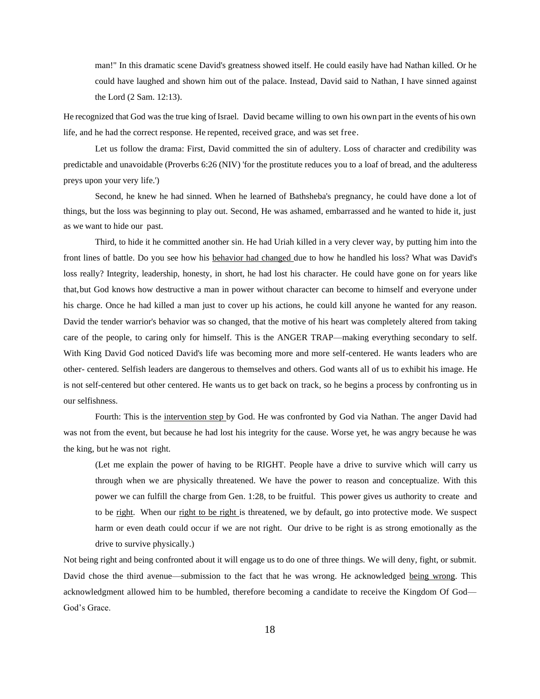man!" In this dramatic scene David's greatness showed itself. He could easily have had Nathan killed. Or he could have laughed and shown him out of the palace. Instead, David said to Nathan, I have sinned against the Lord (2 Sam. 12:13).

He recognized that God was the true king of Israel. David became willing to own his own part in the events of his own life, and he had the correct response. He repented, received grace, and was set free.

Let us follow the drama: First, David committed the sin of adultery. Loss of character and credibility was predictable and unavoidable (Proverbs 6:26 (NIV) 'for the prostitute reduces you to a loaf of bread, and the adulteress preys upon your very life.')

Second, he knew he had sinned. When he learned of Bathsheba's pregnancy, he could have done a lot of things, but the loss was beginning to play out. Second, He was ashamed, embarrassed and he wanted to hide it, just as we want to hide our past.

Third, to hide it he committed another sin. He had Uriah killed in a very clever way, by putting him into the front lines of battle. Do you see how his behavior had changed due to how he handled his loss? What was David's loss really? Integrity, leadership, honesty, in short, he had lost his character. He could have gone on for years like that,but God knows how destructive a man in power without character can become to himself and everyone under his charge. Once he had killed a man just to cover up his actions, he could kill anyone he wanted for any reason. David the tender warrior's behavior was so changed, that the motive of his heart was completely altered from taking care of the people, to caring only for himself. This is the ANGER TRAP—making everything secondary to self. With King David God noticed David's life was becoming more and more self-centered. He wants leaders who are other- centered. Selfish leaders are dangerous to themselves and others. God wants all of us to exhibit his image. He is not self-centered but other centered. He wants us to get back on track, so he begins a process by confronting us in our selfishness.

Fourth: This is the intervention step by God. He was confronted by God via Nathan. The anger David had was not from the event, but because he had lost his integrity for the cause. Worse yet, he was angry because he was the king, but he was not right.

(Let me explain the power of having to be RIGHT. People have a drive to survive which will carry us through when we are physically threatened. We have the power to reason and conceptualize. With this power we can fulfill the charge from Gen. 1:28, to be fruitful. This power gives us authority to create and to be right. When our right to be right is threatened, we by default, go into protective mode. We suspect harm or even death could occur if we are not right. Our drive to be right is as strong emotionally as the drive to survive physically.)

Not being right and being confronted about it will engage us to do one of three things. We will deny, fight, or submit. David chose the third avenue—submission to the fact that he was wrong. He acknowledged being wrong. This acknowledgment allowed him to be humbled, therefore becoming a candidate to receive the Kingdom Of God— God's Grace.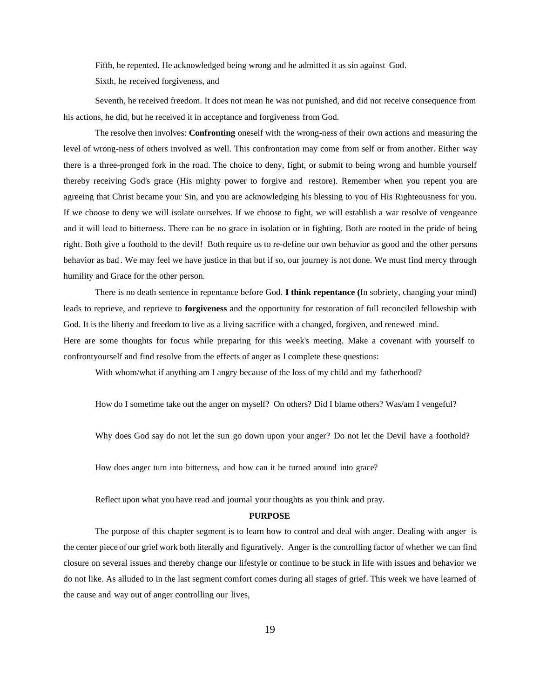Fifth, he repented. He acknowledged being wrong and he admitted it as sin against God.

Sixth, he received forgiveness, and

Seventh, he received freedom. It does not mean he was not punished, and did not receive consequence from his actions, he did, but he received it in acceptance and forgiveness from God.

The resolve then involves: **Confronting** oneself with the wrong-ness of their own actions and measuring the level of wrong-ness of others involved as well. This confrontation may come from self or from another. Either way there is a three-pronged fork in the road. The choice to deny, fight, or submit to being wrong and humble yourself thereby receiving God's grace (His mighty power to forgive and restore). Remember when you repent you are agreeing that Christ became your Sin, and you are acknowledging his blessing to you of His Righteousness for you. If we choose to deny we will isolate ourselves. If we choose to fight, we will establish a war resolve of vengeance and it will lead to bitterness. There can be no grace in isolation or in fighting. Both are rooted in the pride of being right. Both give a foothold to the devil! Both require us to re-define our own behavior as good and the other persons behavior as bad . We may feel we have justice in that but if so, our journey is not done. We must find mercy through humility and Grace for the other person.

There is no death sentence in repentance before God. **I think repentance (**In sobriety, changing your mind) leads to reprieve, and reprieve to **forgiveness** and the opportunity for restoration of full reconciled fellowship with God. It is the liberty and freedom to live as a living sacrifice with a changed, forgiven, and renewed mind. Here are some thoughts for focus while preparing for this week's meeting. Make a covenant with yourself to confrontyourself and find resolve from the effects of anger as I complete these questions:

With whom/what if anything am I angry because of the loss of my child and my fatherhood?

How do I sometime take out the anger on myself? On others? Did I blame others? Was/am I vengeful?

Why does God say do not let the sun go down upon your anger? Do not let the Devil have a foothold?

How does anger turn into bitterness, and how can it be turned around into grace?

Reflect upon what you have read and journal your thoughts as you think and pray.

# **PURPOSE**

The purpose of this chapter segment is to learn how to control and deal with anger. Dealing with anger is the center piece of our grief work both literally and figuratively. Anger is the controlling factor of whether we can find closure on several issues and thereby change our lifestyle or continue to be stuck in life with issues and behavior we do not like. As alluded to in the last segment comfort comes during all stages of grief. This week we have learned of the cause and way out of anger controlling our lives,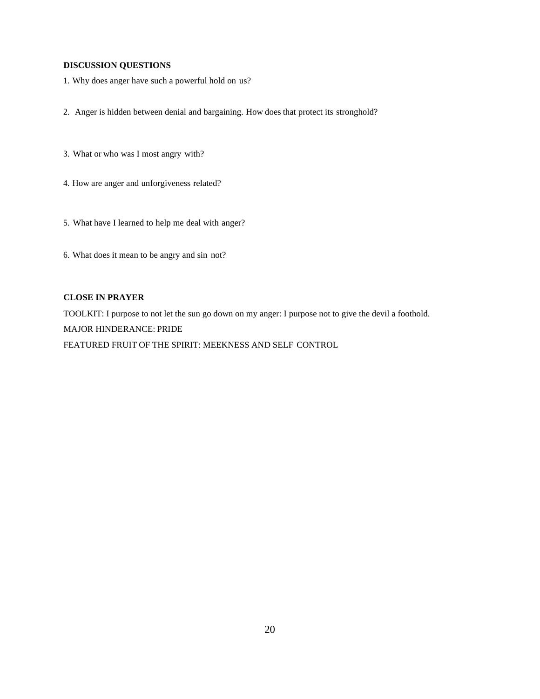# **DISCUSSION QUESTIONS**

- 1. Why does anger have such a powerful hold on us?
- 2. Anger is hidden between denial and bargaining. How does that protect its stronghold?
- 3. What or who was I most angry with?
- 4. How are anger and unforgiveness related?
- 5. What have I learned to help me deal with anger?
- 6. What does it mean to be angry and sin not?

# **CLOSE IN PRAYER**

TOOLKIT: I purpose to not let the sun go down on my anger: I purpose not to give the devil a foothold. MAJOR HINDERANCE: PRIDE FEATURED FRUIT OF THE SPIRIT: MEEKNESS AND SELF CONTROL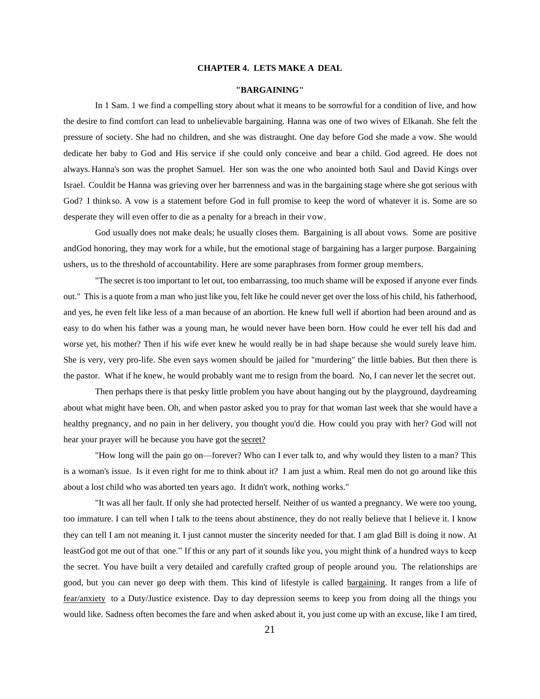# **CHAPTER 4. LETS MAKE A DEAL**

#### **"BARGAINING"**

In 1 Sam. 1 we find a compelling story about what it means to be sorrowful for a condition of live, and how the desire to find comfort can lead to unbelievable bargaining. Hanna was one of two wives of Elkanah. She felt the pressure of society. She had no children, and she was distraught. One day before God she made a vow. She would dedicate her baby to God and His service if she could only conceive and bear a child. God agreed. He does not always. Hanna's son was the prophet Samuel. Her son was the one who anointed both Saul and David Kings over Israel. Couldit be Hanna was grieving over her barrenness and was in the bargaining stage where she got serious with God? I thinkso. A vow is a statement before God in full promise to keep the word of whatever it is. Some are so desperate they will even offer to die as a penalty for a breach in their vow.

God usually does not make deals; he usually closes them. Bargaining is all about vows. Some are positive andGod honoring, they may work for a while, but the emotional stage of bargaining has a larger purpose. Bargaining ushers, us to the threshold of accountability. Here are some paraphrases from former group members.

"The secret is too important to let out, too embarrassing, too much shame will be exposed if anyone ever finds out." This is a quote from a man who just like you, felt like he could never get over the loss of his child, his fatherhood, and yes, he even felt like less of a man because of an abortion. He knew full well if abortion had been around and as easy to do when his father was a young man, he would never have been born. How could he ever tell his dad and worse yet, his mother? Then if his wife ever knew he would really be in bad shape because she would surely leave him. She is very, very pro-life. She even says women should be jailed for "murdering" the little babies. But then there is the pastor. What if he knew, he would probably want me to resign from the board. No, I can never let the secret out.

Then perhaps there is that pesky little problem you have about hanging out by the playground, daydreaming about what might have been. Oh, and when pastor asked you to pray for that woman last week that she would have a healthy pregnancy, and no pain in her delivery, you thought you'd die. How could you pray with her? God will not hear your prayer will he because you have got the secret?

"How long will the pain go on—forever? Who can I ever talk to, and why would they listen to a man? This is a woman's issue. Is it even right for me to think about it? I am just a whim. Real men do not go around like this about a lost child who was aborted ten years ago. It didn't work, nothing works."

"It was all her fault. If only she had protected herself. Neither of us wanted a pregnancy. We were too young, too immature. I can tell when I talk to the teens about abstinence, they do not really believe that I believe it. I know they can tell I am not meaning it. I just cannot muster the sincerity needed for that. I am glad Bill is doing it now. At leastGod got me out of that one." If this or any part of it sounds like you, you might think of a hundred ways to keep the secret. You have built a very detailed and carefully crafted group of people around you. The relationships are good, but you can never go deep with them. This kind of lifestyle is called bargaining. It ranges from a life of fear/anxiety to a Duty/Justice existence. Day to day depression seems to keep you from doing all the things you would like. Sadness often becomes the fare and when asked about it, you just come up with an excuse, like I am tired,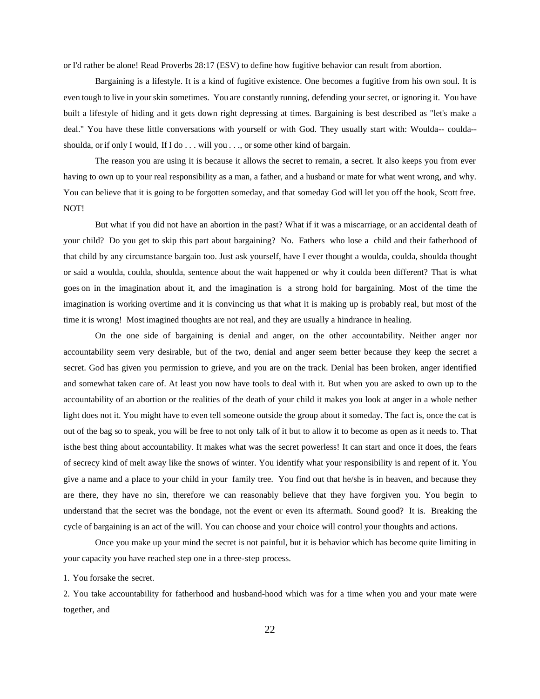or I'd rather be alone! Read Proverbs 28:17 (ESV) to define how fugitive behavior can result from abortion.

Bargaining is a lifestyle. It is a kind of fugitive existence. One becomes a fugitive from his own soul. It is even tough to live in yourskin sometimes. You are constantly running, defending your secret, or ignoring it. You have built a lifestyle of hiding and it gets down right depressing at times. Bargaining is best described as "let's make a deal." You have these little conversations with yourself or with God. They usually start with: Woulda-- coulda- shoulda, or if only I would, If I do . . . will you . . ., or some other kind of bargain.

The reason you are using it is because it allows the secret to remain, a secret. It also keeps you from ever having to own up to your real responsibility as a man, a father, and a husband or mate for what went wrong, and why. You can believe that it is going to be forgotten someday, and that someday God will let you off the hook, Scott free. NOT!

But what if you did not have an abortion in the past? What if it was a miscarriage, or an accidental death of your child? Do you get to skip this part about bargaining? No. Fathers who lose a child and their fatherhood of that child by any circumstance bargain too. Just ask yourself, have I ever thought a woulda, coulda, shoulda thought or said a woulda, coulda, shoulda, sentence about the wait happened or why it coulda been different? That is what goes on in the imagination about it, and the imagination is a strong hold for bargaining. Most of the time the imagination is working overtime and it is convincing us that what it is making up is probably real, but most of the time it is wrong! Most imagined thoughts are not real, and they are usually a hindrance in healing.

On the one side of bargaining is denial and anger, on the other accountability. Neither anger nor accountability seem very desirable, but of the two, denial and anger seem better because they keep the secret a secret. God has given you permission to grieve, and you are on the track. Denial has been broken, anger identified and somewhat taken care of. At least you now have tools to deal with it. But when you are asked to own up to the accountability of an abortion or the realities of the death of your child it makes you look at anger in a whole nether light does not it. You might have to even tell someone outside the group about it someday. The fact is, once the cat is out of the bag so to speak, you will be free to not only talk of it but to allow it to become as open as it needs to. That isthe best thing about accountability. It makes what was the secret powerless! It can start and once it does, the fears of secrecy kind of melt away like the snows of winter. You identify what your responsibility is and repent of it. You give a name and a place to your child in your family tree. You find out that he/she is in heaven, and because they are there, they have no sin, therefore we can reasonably believe that they have forgiven you. You begin to understand that the secret was the bondage, not the event or even its aftermath. Sound good? It is. Breaking the cycle of bargaining is an act of the will. You can choose and your choice will control your thoughts and actions.

Once you make up your mind the secret is not painful, but it is behavior which has become quite limiting in your capacity you have reached step one in a three-step process.

1. You forsake the secret.

2. You take accountability for fatherhood and husband-hood which was for a time when you and your mate were together, and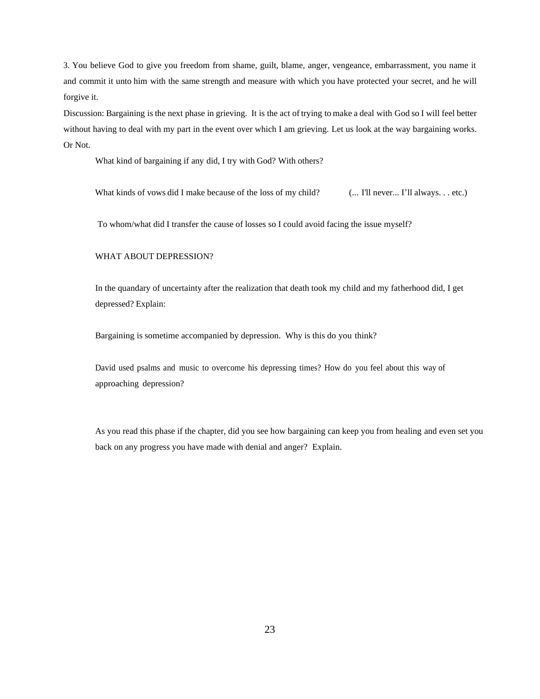3. You believe God to give you freedom from shame, guilt, blame, anger, vengeance, embarrassment, you name it and commit it unto him with the same strength and measure with which you have protected your secret, and he will forgive it.

Discussion: Bargaining is the next phase in grieving. It is the act of trying to make a deal with God so I will feel better without having to deal with my part in the event over which I am grieving. Let us look at the way bargaining works. Or Not.

What kind of bargaining if any did, I try with God? With others?

What kinds of vows did I make because of the loss of my child? (... I'll never... I'll always... etc.)

To whom/what did I transfer the cause of losses so I could avoid facing the issue myself?

#### WHAT ABOUT DEPRESSION?

In the quandary of uncertainty after the realization that death took my child and my fatherhood did, I get depressed? Explain:

Bargaining is sometime accompanied by depression. Why is this do you think?

David used psalms and music to overcome his depressing times? How do you feel about this way of approaching depression?

As you read this phase if the chapter, did you see how bargaining can keep you from healing and even set you back on any progress you have made with denial and anger? Explain.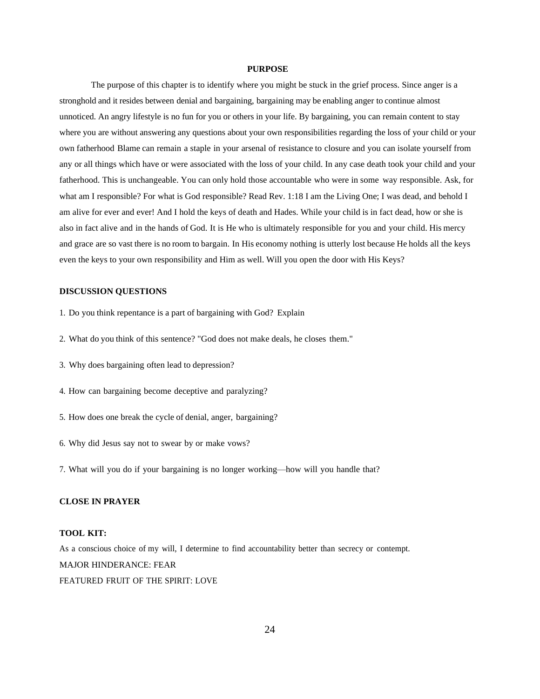#### **PURPOSE**

The purpose of this chapter is to identify where you might be stuck in the grief process. Since anger is a stronghold and it resides between denial and bargaining, bargaining may be enabling anger to continue almost unnoticed. An angry lifestyle is no fun for you or others in your life. By bargaining, you can remain content to stay where you are without answering any questions about your own responsibilities regarding the loss of your child or your own fatherhood Blame can remain a staple in your arsenal of resistance to closure and you can isolate yourself from any or all things which have or were associated with the loss of your child. In any case death took your child and your fatherhood. This is unchangeable. You can only hold those accountable who were in some way responsible. Ask, for what am I responsible? For what is God responsible? Read Rev. 1:18 I am the Living One; I was dead, and behold I am alive for ever and ever! And I hold the keys of death and Hades. While your child is in fact dead, how or she is also in fact alive and in the hands of God. It is He who is ultimately responsible for you and your child. His mercy and grace are so vast there is no room to bargain. In His economy nothing is utterly lost because He holds all the keys even the keys to your own responsibility and Him as well. Will you open the door with His Keys?

# **DISCUSSION QUESTIONS**

- 1. Do you think repentance is a part of bargaining with God? Explain
- 2. What do you think of this sentence? "God does not make deals, he closes them."
- 3. Why does bargaining often lead to depression?
- 4. How can bargaining become deceptive and paralyzing?
- 5. How does one break the cycle of denial, anger, bargaining?
- 6. Why did Jesus say not to swear by or make vows?
- 7. What will you do if your bargaining is no longer working—how will you handle that?

# **CLOSE IN PRAYER**

# **TOOL KIT:**

As a conscious choice of my will, I determine to find accountability better than secrecy or contempt. MAJOR HINDERANCE: FEAR FEATURED FRUIT OF THE SPIRIT: LOVE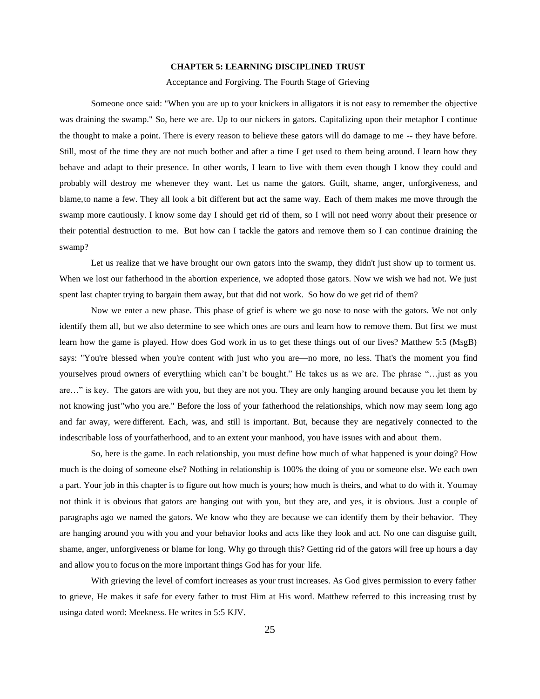#### **CHAPTER 5: LEARNING DISCIPLINED TRUST**

Acceptance and Forgiving. The Fourth Stage of Grieving

Someone once said: "When you are up to your knickers in alligators it is not easy to remember the objective was draining the swamp." So, here we are. Up to our nickers in gators. Capitalizing upon their metaphor I continue the thought to make a point. There is every reason to believe these gators will do damage to me -- they have before. Still, most of the time they are not much bother and after a time I get used to them being around. I learn how they behave and adapt to their presence. In other words, I learn to live with them even though I know they could and probably will destroy me whenever they want. Let us name the gators. Guilt, shame, anger, unforgiveness, and blame,to name a few. They all look a bit different but act the same way. Each of them makes me move through the swamp more cautiously. I know some day I should get rid of them, so I will not need worry about their presence or their potential destruction to me. But how can I tackle the gators and remove them so I can continue draining the swamp?

Let us realize that we have brought our own gators into the swamp, they didn't just show up to torment us. When we lost our fatherhood in the abortion experience, we adopted those gators. Now we wish we had not. We just spent last chapter trying to bargain them away, but that did not work. So how do we get rid of them?

Now we enter a new phase. This phase of grief is where we go nose to nose with the gators. We not only identify them all, but we also determine to see which ones are ours and learn how to remove them. But first we must learn how the game is played. How does God work in us to get these things out of our lives? Matthew 5:5 (MsgB) says: "You're blessed when you're content with just who you are—no more, no less. That's the moment you find yourselves proud owners of everything which can't be bought." He takes us as we are. The phrase "…just as you are…" is key. The gators are with you, but they are not you. They are only hanging around because you let them by not knowing just"who you are." Before the loss of your fatherhood the relationships, which now may seem long ago and far away, were different. Each, was, and still is important. But, because they are negatively connected to the indescribable loss of yourfatherhood, and to an extent your manhood, you have issues with and about them.

So, here is the game. In each relationship, you must define how much of what happened is your doing? How much is the doing of someone else? Nothing in relationship is 100% the doing of you or someone else. We each own a part. Your job in this chapter is to figure out how much is yours; how much is theirs, and what to do with it. Youmay not think it is obvious that gators are hanging out with you, but they are, and yes, it is obvious. Just a couple of paragraphs ago we named the gators. We know who they are because we can identify them by their behavior. They are hanging around you with you and your behavior looks and acts like they look and act. No one can disguise guilt, shame, anger, unforgiveness or blame for long. Why go through this? Getting rid of the gators will free up hours a day and allow you to focus on the more important things God has for your life.

With grieving the level of comfort increases as your trust increases. As God gives permission to every father to grieve, He makes it safe for every father to trust Him at His word. Matthew referred to this increasing trust by usinga dated word: Meekness. He writes in 5:5 KJV.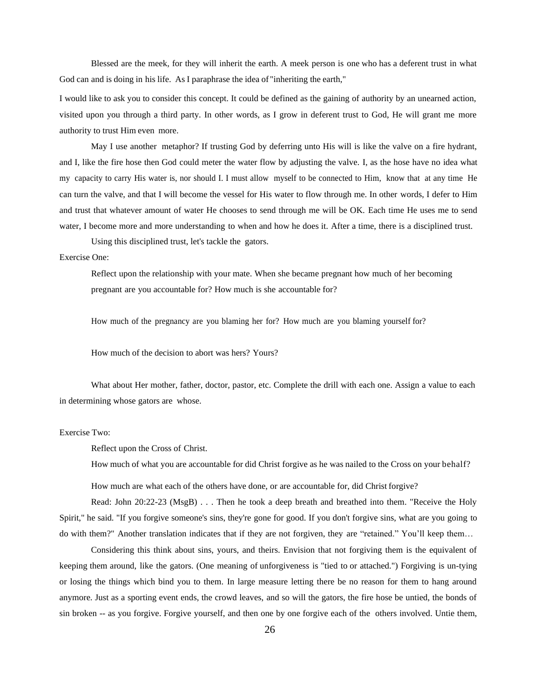Blessed are the meek, for they will inherit the earth. A meek person is one who has a deferent trust in what God can and is doing in his life. As I paraphrase the idea of "inheriting the earth,"

I would like to ask you to consider this concept. It could be defined as the gaining of authority by an unearned action, visited upon you through a third party. In other words, as I grow in deferent trust to God, He will grant me more authority to trust Him even more.

May I use another metaphor? If trusting God by deferring unto His will is like the valve on a fire hydrant, and I, like the fire hose then God could meter the water flow by adjusting the valve. I, as the hose have no idea what my capacity to carry His water is, nor should I. I must allow myself to be connected to Him, know that at any time He can turn the valve, and that I will become the vessel for His water to flow through me. In other words, I defer to Him and trust that whatever amount of water He chooses to send through me will be OK. Each time He uses me to send water, I become more and more understanding to when and how he does it. After a time, there is a disciplined trust.

Using this disciplined trust, let's tackle the gators.

### Exercise One:

Reflect upon the relationship with your mate. When she became pregnant how much of her becoming pregnant are you accountable for? How much is she accountable for?

How much of the pregnancy are you blaming her for? How much are you blaming yourself for?

How much of the decision to abort was hers? Yours?

What about Her mother, father, doctor, pastor, etc. Complete the drill with each one. Assign a value to each in determining whose gators are whose.

# Exercise Two:

Reflect upon the Cross of Christ.

How much of what you are accountable for did Christ forgive as he was nailed to the Cross on your behalf?

How much are what each of the others have done, or are accountable for, did Christ forgive?

Read: John 20:22-23 (MsgB) . . . Then he took a deep breath and breathed into them. "Receive the Holy Spirit," he said. "If you forgive someone's sins, they're gone for good. If you don't forgive sins, what are you going to do with them?" Another translation indicates that if they are not forgiven, they are "retained." You'll keep them...

Considering this think about sins, yours, and theirs. Envision that not forgiving them is the equivalent of keeping them around, like the gators. (One meaning of unforgiveness is "tied to or attached.") Forgiving is un-tying or losing the things which bind you to them. In large measure letting there be no reason for them to hang around anymore. Just as a sporting event ends, the crowd leaves, and so will the gators, the fire hose be untied, the bonds of sin broken -- as you forgive. Forgive yourself, and then one by one forgive each of the others involved. Untie them,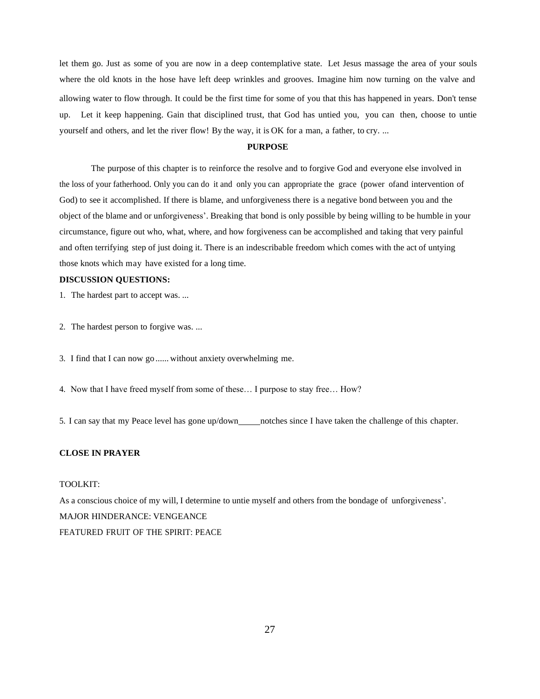let them go. Just as some of you are now in a deep contemplative state. Let Jesus massage the area of your souls where the old knots in the hose have left deep wrinkles and grooves. Imagine him now turning on the valve and allowing water to flow through. It could be the first time for some of you that this has happened in years. Don't tense up. Let it keep happening. Gain that disciplined trust, that God has untied you, you can then, choose to untie yourself and others, and let the river flow! By the way, it is OK for a man, a father, to cry. ...

# **PURPOSE**

The purpose of this chapter is to reinforce the resolve and to forgive God and everyone else involved in the loss of your fatherhood. Only you can do it and only you can appropriate the grace (power ofand intervention of God) to see it accomplished. If there is blame, and unforgiveness there is a negative bond between you and the object of the blame and or unforgiveness'. Breaking that bond is only possible by being willing to be humble in your circumstance, figure out who, what, where, and how forgiveness can be accomplished and taking that very painful and often terrifying step of just doing it. There is an indescribable freedom which comes with the act of untying those knots which may have existed for a long time.

# **DISCUSSION QUESTIONS:**

1. The hardest part to accept was. ...

- 2. The hardest person to forgive was. ...
- 3. I find that I can now go ...... without anxiety overwhelming me.
- 4. Now that I have freed myself from some of these… I purpose to stay free… How?
- 5. I can say that my Peace level has gone up/down notches since I have taken the challenge of this chapter.

# **CLOSE IN PRAYER**

#### TOOLKIT:

As a conscious choice of my will, I determine to untie myself and others from the bondage of unforgiveness'. MAJOR HINDERANCE: VENGEANCE FEATURED FRUIT OF THE SPIRIT: PEACE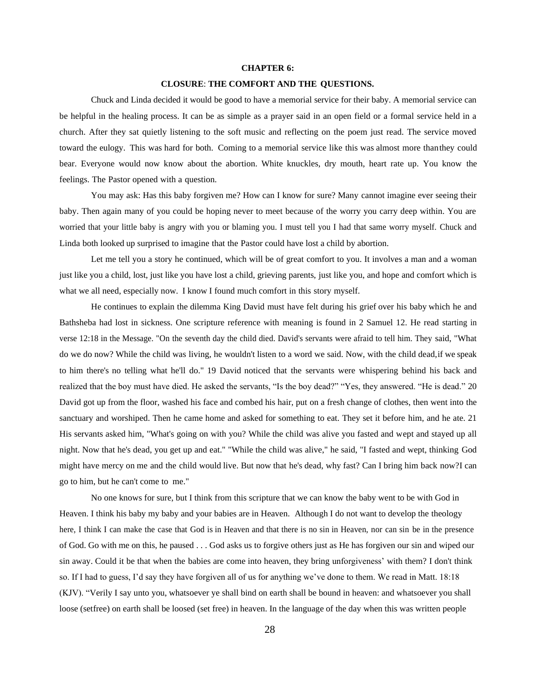#### **CHAPTER 6:**

# **CLOSURE**: **THE COMFORT AND THE QUESTIONS.**

Chuck and Linda decided it would be good to have a memorial service for their baby. A memorial service can be helpful in the healing process. It can be as simple as a prayer said in an open field or a formal service held in a church. After they sat quietly listening to the soft music and reflecting on the poem just read. The service moved toward the eulogy. This was hard for both. Coming to a memorial service like this was almost more thanthey could bear. Everyone would now know about the abortion. White knuckles, dry mouth, heart rate up. You know the feelings. The Pastor opened with a question.

You may ask: Has this baby forgiven me? How can I know for sure? Many cannot imagine ever seeing their baby. Then again many of you could be hoping never to meet because of the worry you carry deep within. You are worried that your little baby is angry with you or blaming you. I must tell you I had that same worry myself. Chuck and Linda both looked up surprised to imagine that the Pastor could have lost a child by abortion.

Let me tell you a story he continued, which will be of great comfort to you. It involves a man and a woman just like you a child, lost, just like you have lost a child, grieving parents, just like you, and hope and comfort which is what we all need, especially now. I know I found much comfort in this story myself.

He continues to explain the dilemma King David must have felt during his grief over his baby which he and Bathsheba had lost in sickness. One scripture reference with meaning is found in 2 Samuel 12. He read starting in verse 12:18 in the Message. "On the seventh day the child died. David's servants were afraid to tell him. They said, "What do we do now? While the child was living, he wouldn't listen to a word we said. Now, with the child dead,if we speak to him there's no telling what he'll do." 19 David noticed that the servants were whispering behind his back and realized that the boy must have died. He asked the servants, "Is the boy dead?" "Yes, they answered. "He is dead." 20 David got up from the floor, washed his face and combed his hair, put on a fresh change of clothes, then went into the sanctuary and worshiped. Then he came home and asked for something to eat. They set it before him, and he ate. 21 His servants asked him, "What's going on with you? While the child was alive you fasted and wept and stayed up all night. Now that he's dead, you get up and eat." "While the child was alive," he said, "I fasted and wept, thinking God might have mercy on me and the child would live. But now that he's dead, why fast? Can I bring him back now?I can go to him, but he can't come to me."

No one knows for sure, but I think from this scripture that we can know the baby went to be with God in Heaven. I think his baby my baby and your babies are in Heaven. Although I do not want to develop the theology here, I think I can make the case that God is in Heaven and that there is no sin in Heaven, nor can sin be in the presence of God. Go with me on this, he paused . . . God asks us to forgive others just as He has forgiven our sin and wiped our sin away. Could it be that when the babies are come into heaven, they bring unforgiveness' with them? I don't think so. If I had to guess, I'd say they have forgiven all of us for anything we've done to them. We read in Matt. 18:18 (KJV). "Verily I say unto you, whatsoever ye shall bind on earth shall be bound in heaven: and whatsoever you shall loose (setfree) on earth shall be loosed (set free) in heaven. In the language of the day when this was written people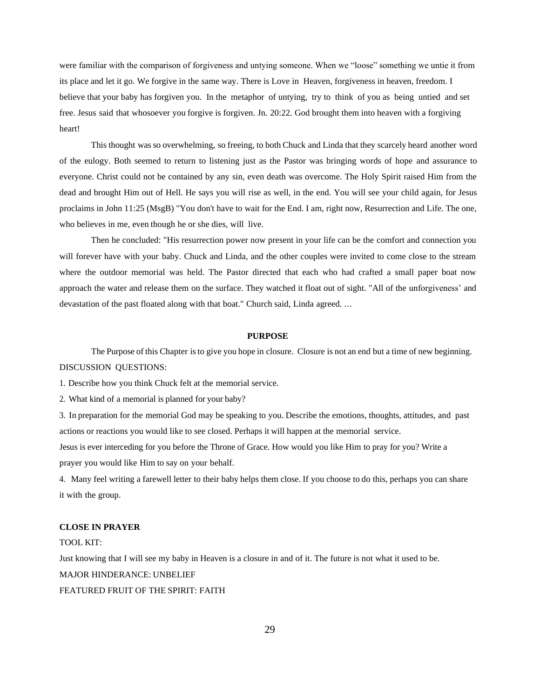were familiar with the comparison of forgiveness and untying someone. When we "loose" something we untie it from its place and let it go. We forgive in the same way. There is Love in Heaven, forgiveness in heaven, freedom. I believe that your baby has forgiven you. In the metaphor of untying, try to think of you as being untied and set free. Jesus said that whosoever you forgive is forgiven. Jn. 20:22. God brought them into heaven with a forgiving heart!

This thought was so overwhelming, so freeing, to both Chuck and Linda that they scarcely heard another word of the eulogy. Both seemed to return to listening just as the Pastor was bringing words of hope and assurance to everyone. Christ could not be contained by any sin, even death was overcome. The Holy Spirit raised Him from the dead and brought Him out of Hell. He says you will rise as well, in the end. You will see your child again, for Jesus proclaims in John 11:25 (MsgB) "You don't have to wait for the End. I am, right now, Resurrection and Life. The one, who believes in me, even though he or she dies, will live.

Then he concluded: "His resurrection power now present in your life can be the comfort and connection you will forever have with your baby. Chuck and Linda, and the other couples were invited to come close to the stream where the outdoor memorial was held. The Pastor directed that each who had crafted a small paper boat now approach the water and release them on the surface. They watched it float out of sight. "All of the unforgiveness' and devastation of the past floated along with that boat." Church said, Linda agreed. ...

# **PURPOSE**

The Purpose of this Chapter isto give you hope in closure. Closure is not an end but a time of new beginning. DISCUSSION QUESTIONS:

1. Describe how you think Chuck felt at the memorial service.

2. What kind of a memorial is planned for your baby?

3. In preparation for the memorial God may be speaking to you. Describe the emotions, thoughts, attitudes, and past actions or reactions you would like to see closed. Perhaps it will happen at the memorial service.

Jesus is ever interceding for you before the Throne of Grace. How would you like Him to pray for you? Write a prayer you would like Him to say on your behalf.

4. Many feel writing a farewell letter to their baby helps them close. If you choose to do this, perhaps you can share it with the group.

#### **CLOSE IN PRAYER**

#### TOOL KIT:

Just knowing that I will see my baby in Heaven is a closure in and of it. The future is not what it used to be. MAJOR HINDERANCE: UNBELIEF FEATURED FRUIT OF THE SPIRIT: FAITH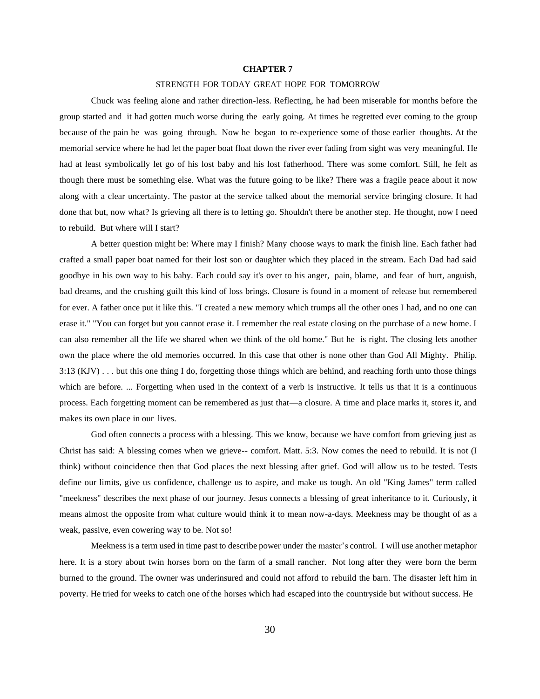#### **CHAPTER 7**

#### STRENGTH FOR TODAY GREAT HOPE FOR TOMORROW

Chuck was feeling alone and rather direction-less. Reflecting, he had been miserable for months before the group started and it had gotten much worse during the early going. At times he regretted ever coming to the group because of the pain he was going through. Now he began to re-experience some of those earlier thoughts. At the memorial service where he had let the paper boat float down the river ever fading from sight was very meaningful. He had at least symbolically let go of his lost baby and his lost fatherhood. There was some comfort. Still, he felt as though there must be something else. What was the future going to be like? There was a fragile peace about it now along with a clear uncertainty. The pastor at the service talked about the memorial service bringing closure. It had done that but, now what? Is grieving all there is to letting go. Shouldn't there be another step. He thought, now I need to rebuild. But where will I start?

A better question might be: Where may I finish? Many choose ways to mark the finish line. Each father had crafted a small paper boat named for their lost son or daughter which they placed in the stream. Each Dad had said goodbye in his own way to his baby. Each could say it's over to his anger, pain, blame, and fear of hurt, anguish, bad dreams, and the crushing guilt this kind of loss brings. Closure is found in a moment of release but remembered for ever. A father once put it like this. "I created a new memory which trumps all the other ones I had, and no one can erase it." "You can forget but you cannot erase it. I remember the real estate closing on the purchase of a new home. I can also remember all the life we shared when we think of the old home." But he is right. The closing lets another own the place where the old memories occurred. In this case that other is none other than God All Mighty. Philip.  $3:13$  (KJV)  $\ldots$  but this one thing I do, forgetting those things which are behind, and reaching forth unto those things which are before. ... Forgetting when used in the context of a verb is instructive. It tells us that it is a continuous process. Each forgetting moment can be remembered as just that—a closure. A time and place marks it, stores it, and makes its own place in our lives.

God often connects a process with a blessing. This we know, because we have comfort from grieving just as Christ has said: A blessing comes when we grieve-- comfort. Matt. 5:3. Now comes the need to rebuild. It is not (I think) without coincidence then that God places the next blessing after grief. God will allow us to be tested. Tests define our limits, give us confidence, challenge us to aspire, and make us tough. An old "King James" term called "meekness" describes the next phase of our journey. Jesus connects a blessing of great inheritance to it. Curiously, it means almost the opposite from what culture would think it to mean now-a-days. Meekness may be thought of as a weak, passive, even cowering way to be. Not so!

Meekness is a term used in time past to describe power under the master's control. I will use another metaphor here. It is a story about twin horses born on the farm of a small rancher. Not long after they were born the berm burned to the ground. The owner was underinsured and could not afford to rebuild the barn. The disaster left him in poverty. He tried for weeks to catch one of the horses which had escaped into the countryside but without success. He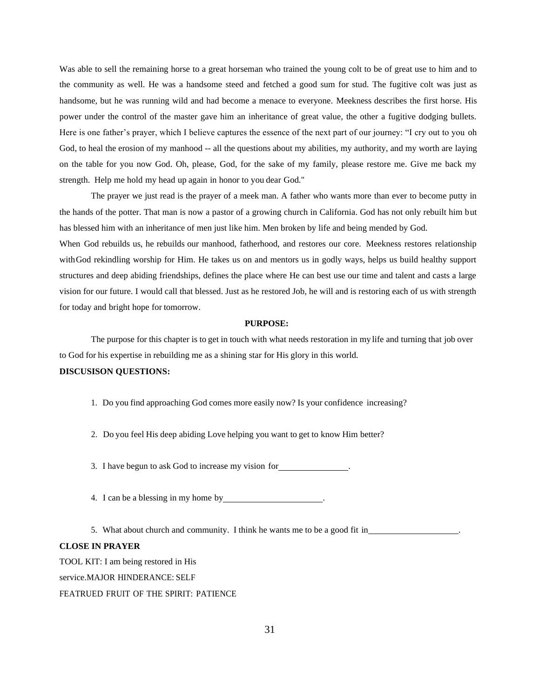Was able to sell the remaining horse to a great horseman who trained the young colt to be of great use to him and to the community as well. He was a handsome steed and fetched a good sum for stud. The fugitive colt was just as handsome, but he was running wild and had become a menace to everyone. Meekness describes the first horse. His power under the control of the master gave him an inheritance of great value, the other a fugitive dodging bullets. Here is one father's prayer, which I believe captures the essence of the next part of our journey: "I cry out to you oh God, to heal the erosion of my manhood -- all the questions about my abilities, my authority, and my worth are laying on the table for you now God. Oh, please, God, for the sake of my family, please restore me. Give me back my strength. Help me hold my head up again in honor to you dear God."

The prayer we just read is the prayer of a meek man. A father who wants more than ever to become putty in the hands of the potter. That man is now a pastor of a growing church in California. God has not only rebuilt him but has blessed him with an inheritance of men just like him. Men broken by life and being mended by God.

When God rebuilds us, he rebuilds our manhood, fatherhood, and restores our core. Meekness restores relationship withGod rekindling worship for Him. He takes us on and mentors us in godly ways, helps us build healthy support structures and deep abiding friendships, defines the place where He can best use our time and talent and casts a large vision for our future. I would call that blessed. Just as he restored Job, he will and is restoring each of us with strength for today and bright hope for tomorrow.

### **PURPOSE:**

The purpose for this chapter is to get in touch with what needs restoration in my life and turning that job over to God for his expertise in rebuilding me as a shining star for His glory in this world.

# **DISCUSISON QUESTIONS:**

- 1. Do you find approaching God comes more easily now? Is your confidence increasing?
- 2. Do you feel His deep abiding Love helping you want to get to know Him better?

3. I have begun to ask God to increase my vision for .

4. I can be a blessing in my home by .

5. What about church and community. I think he wants me to be a good fit in .

# **CLOSE IN PRAYER**

TOOL KIT: I am being restored in His service.MAJOR HINDERANCE: SELF FEATRUED FRUIT OF THE SPIRIT: PATIENCE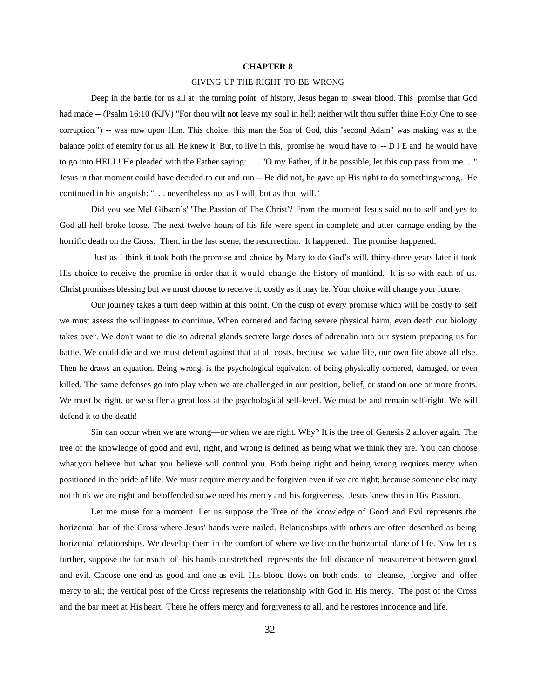#### **CHAPTER 8**

#### GIVING UP THE RIGHT TO BE WRONG

Deep in the battle for us all at the turning point of history, Jesus began to sweat blood. This promise that God had made -- (Psalm 16:10 (KJV) "For thou wilt not leave my soul in hell; neither wilt thou suffer thine Holy One to see corruption.") -- was now upon Him. This choice, this man the Son of God, this "second Adam" was making was at the balance point of eternity for us all. He knew it. But, to live in this, promise he would have to -- D I E and he would have to go into HELL! He pleaded with the Father saying: . . . "O my Father, if it be possible, let this cup pass from me. . ." Jesus in that moment could have decided to cut and run -- He did not, he gave up His right to do somethingwrong. He continued in his anguish: ". . . nevertheless not as I will, but as thou will."

Did you see Mel Gibson's' 'The Passion of The Christ'? From the moment Jesus said no to self and yes to God all hell broke loose. The next twelve hours of his life were spent in complete and utter carnage ending by the horrific death on the Cross. Then, in the last scene, the resurrection. It happened. The promise happened.

Just as I think it took both the promise and choice by Mary to do God's will, thirty-three years later it took His choice to receive the promise in order that it would change the history of mankind. It is so with each of us. Christ promises blessing but we must choose to receive it, costly as it may be. Your choice will change your future.

Our journey takes a turn deep within at this point. On the cusp of every promise which will be costly to self we must assess the willingness to continue. When cornered and facing severe physical harm, even death our biology takes over. We don't want to die so adrenal glands secrete large doses of adrenalin into our system preparing us for battle. We could die and we must defend against that at all costs, because we value life, our own life above all else. Then he draws an equation. Being wrong, is the psychological equivalent of being physically cornered, damaged, or even killed. The same defenses go into play when we are challenged in our position, belief, or stand on one or more fronts. We must be right, or we suffer a great loss at the psychological self-level. We must be and remain self-right. We will defend it to the death!

Sin can occur when we are wrong—or when we are right. Why? It is the tree of Genesis 2 allover again. The tree of the knowledge of good and evil, right, and wrong is defined as being what we think they are. You can choose what you believe but what you believe will control you. Both being right and being wrong requires mercy when positioned in the pride of life. We must acquire mercy and be forgiven even if we are right; because someone else may not think we are right and be offended so we need his mercy and his forgiveness. Jesus knew this in His Passion.

Let me muse for a moment. Let us suppose the Tree of the knowledge of Good and Evil represents the horizontal bar of the Cross where Jesus' hands were nailed. Relationships with others are often described as being horizontal relationships. We develop them in the comfort of where we live on the horizontal plane of life. Now let us further, suppose the far reach of his hands outstretched represents the full distance of measurement between good and evil. Choose one end as good and one as evil. His blood flows on both ends, to cleanse, forgive and offer mercy to all; the vertical post of the Cross represents the relationship with God in His mercy. The post of the Cross and the bar meet at His heart. There he offers mercy and forgiveness to all, and he restores innocence and life.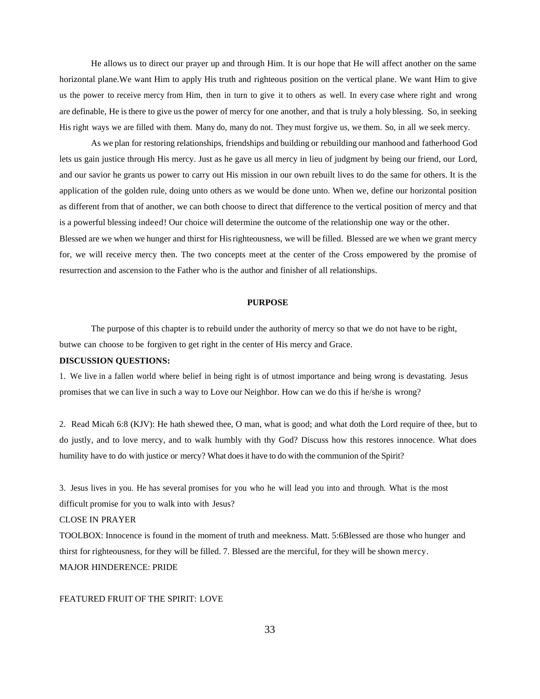He allows us to direct our prayer up and through Him. It is our hope that He will affect another on the same horizontal plane.We want Him to apply His truth and righteous position on the vertical plane. We want Him to give us the power to receive mercy from Him, then in turn to give it to others as well. In every case where right and wrong are definable, He is there to give usthe power of mercy for one another, and that is truly a holy blessing. So, in seeking His right ways we are filled with them. Many do, many do not. They must forgive us, we them. So, in all we seek mercy.

As we plan for restoring relationships, friendships and building or rebuilding our manhood and fatherhood God lets us gain justice through His mercy. Just as he gave us all mercy in lieu of judgment by being our friend, our Lord, and our savior he grants us power to carry out His mission in our own rebuilt lives to do the same for others. It is the application of the golden rule, doing unto others as we would be done unto. When we, define our horizontal position as different from that of another, we can both choose to direct that difference to the vertical position of mercy and that is a powerful blessing indeed! Our choice will determine the outcome of the relationship one way or the other.

Blessed are we when we hunger and thirst for Hisrighteousness, we will be filled. Blessed are we when we grant mercy for, we will receive mercy then. The two concepts meet at the center of the Cross empowered by the promise of resurrection and ascension to the Father who is the author and finisher of all relationships.

#### **PURPOSE**

The purpose of this chapter is to rebuild under the authority of mercy so that we do not have to be right, butwe can choose to be forgiven to get right in the center of His mercy and Grace.

# **DISCUSSION QUESTIONS:**

1. We live in a fallen world where belief in being right is of utmost importance and being wrong is devastating. Jesus promises that we can live in such a way to Love our Neighbor. How can we do this if he/she is wrong?

2. Read Micah 6:8 (KJV): He hath shewed thee, O man, what is good; and what doth the Lord require of thee, but to do justly, and to love mercy, and to walk humbly with thy God? Discuss how this restores innocence. What does humility have to do with justice or mercy? What does it have to do with the communion of the Spirit?

3. Jesus lives in you. He has several promises for you who he will lead you into and through. What is the most difficult promise for you to walk into with Jesus?

### CLOSE IN PRAYER

TOOLBOX: Innocence is found in the moment of truth and meekness. Matt. 5:6Blessed are those who hunger and thirst for righteousness, for they will be filled. 7. Blessed are the merciful, for they will be shown mercy. MAJOR HINDERENCE: PRIDE

#### FEATURED FRUIT OF THE SPIRIT: LOVE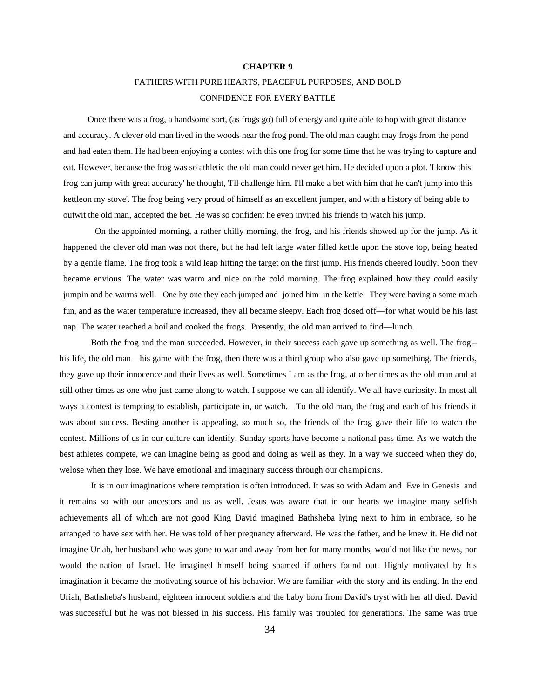#### **CHAPTER 9**

# FATHERS WITH PURE HEARTS, PEACEFUL PURPOSES, AND BOLD CONFIDENCE FOR EVERY BATTLE

Once there was a frog, a handsome sort, (as frogs go) full of energy and quite able to hop with great distance and accuracy. A clever old man lived in the woods near the frog pond. The old man caught may frogs from the pond and had eaten them. He had been enjoying a contest with this one frog for some time that he was trying to capture and eat. However, because the frog was so athletic the old man could never get him. He decided upon a plot. 'I know this frog can jump with great accuracy' he thought, 'I'll challenge him. I'll make a bet with him that he can't jump into this kettleon my stove'. The frog being very proud of himself as an excellent jumper, and with a history of being able to outwit the old man, accepted the bet. He was so confident he even invited his friends to watch his jump.

On the appointed morning, a rather chilly morning, the frog, and his friends showed up for the jump. As it happened the clever old man was not there, but he had left large water filled kettle upon the stove top, being heated by a gentle flame. The frog took a wild leap hitting the target on the first jump. His friends cheered loudly. Soon they became envious. The water was warm and nice on the cold morning. The frog explained how they could easily jumpin and be warms well. One by one they each jumped and joined him in the kettle. They were having a some much fun, and as the water temperature increased, they all became sleepy. Each frog dosed off—for what would be his last nap. The water reached a boil and cooked the frogs. Presently, the old man arrived to find—lunch.

Both the frog and the man succeeded. However, in their success each gave up something as well. The frog- his life, the old man—his game with the frog, then there was a third group who also gave up something. The friends, they gave up their innocence and their lives as well. Sometimes I am as the frog, at other times as the old man and at still other times as one who just came along to watch. I suppose we can all identify. We all have curiosity. In most all ways a contest is tempting to establish, participate in, or watch. To the old man, the frog and each of his friends it was about success. Besting another is appealing, so much so, the friends of the frog gave their life to watch the contest. Millions of us in our culture can identify. Sunday sports have become a national pass time. As we watch the best athletes compete, we can imagine being as good and doing as well as they. In a way we succeed when they do, welose when they lose. We have emotional and imaginary success through our champions.

It is in our imaginations where temptation is often introduced. It was so with Adam and Eve in Genesis and it remains so with our ancestors and us as well. Jesus was aware that in our hearts we imagine many selfish achievements all of which are not good King David imagined Bathsheba lying next to him in embrace, so he arranged to have sex with her. He was told of her pregnancy afterward. He was the father, and he knew it. He did not imagine Uriah, her husband who was gone to war and away from her for many months, would not like the news, nor would the nation of Israel. He imagined himself being shamed if others found out. Highly motivated by his imagination it became the motivating source of his behavior. We are familiar with the story and its ending. In the end Uriah, Bathsheba's husband, eighteen innocent soldiers and the baby born from David's tryst with her all died. David was successful but he was not blessed in his success. His family was troubled for generations. The same was true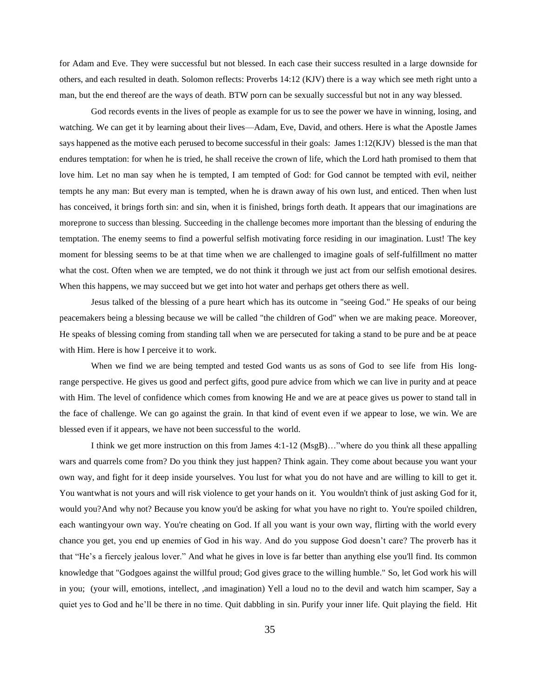for Adam and Eve. They were successful but not blessed. In each case their success resulted in a large downside for others, and each resulted in death. Solomon reflects: Proverbs 14:12 (KJV) there is a way which see meth right unto a man, but the end thereof are the ways of death. BTW porn can be sexually successful but not in any way blessed.

God records events in the lives of people as example for us to see the power we have in winning, losing, and watching. We can get it by learning about their lives—Adam, Eve, David, and others. Here is what the Apostle James says happened as the motive each perused to become successful in their goals: James 1:12(KJV) blessed is the man that endures temptation: for when he is tried, he shall receive the crown of life, which the Lord hath promised to them that love him. Let no man say when he is tempted, I am tempted of God: for God cannot be tempted with evil, neither tempts he any man: But every man is tempted, when he is drawn away of his own lust, and enticed. Then when lust has conceived, it brings forth sin: and sin, when it is finished, brings forth death. It appears that our imaginations are moreprone to success than blessing. Succeeding in the challenge becomes more important than the blessing of enduring the temptation. The enemy seems to find a powerful selfish motivating force residing in our imagination. Lust! The key moment for blessing seems to be at that time when we are challenged to imagine goals of self-fulfillment no matter what the cost. Often when we are tempted, we do not think it through we just act from our selfish emotional desires. When this happens, we may succeed but we get into hot water and perhaps get others there as well.

Jesus talked of the blessing of a pure heart which has its outcome in "seeing God." He speaks of our being peacemakers being a blessing because we will be called "the children of God" when we are making peace. Moreover, He speaks of blessing coming from standing tall when we are persecuted for taking a stand to be pure and be at peace with Him. Here is how I perceive it to work.

When we find we are being tempted and tested God wants us as sons of God to see life from His longrange perspective. He gives us good and perfect gifts, good pure advice from which we can live in purity and at peace with Him. The level of confidence which comes from knowing He and we are at peace gives us power to stand tall in the face of challenge. We can go against the grain. In that kind of event even if we appear to lose, we win. We are blessed even if it appears, we have not been successful to the world.

I think we get more instruction on this from James 4:1-12 (MsgB)…"where do you think all these appalling wars and quarrels come from? Do you think they just happen? Think again. They come about because you want your own way, and fight for it deep inside yourselves. You lust for what you do not have and are willing to kill to get it. You wantwhat is not yours and will risk violence to get your hands on it. You wouldn't think of just asking God for it, would you?And why not? Because you know you'd be asking for what you have no right to. You're spoiled children, each wantingyour own way. You're cheating on God. If all you want is your own way, flirting with the world every chance you get, you end up enemies of God in his way. And do you suppose God doesn't care? The proverb has it that "He's a fiercely jealous lover." And what he gives in love is far better than anything else you'll find. Its common knowledge that "Godgoes against the willful proud; God gives grace to the willing humble." So, let God work his will in you; (your will, emotions, intellect, ,and imagination) Yell a loud no to the devil and watch him scamper, Say a quiet yes to God and he'll be there in no time. Quit dabbling in sin. Purify your inner life. Quit playing the field. Hit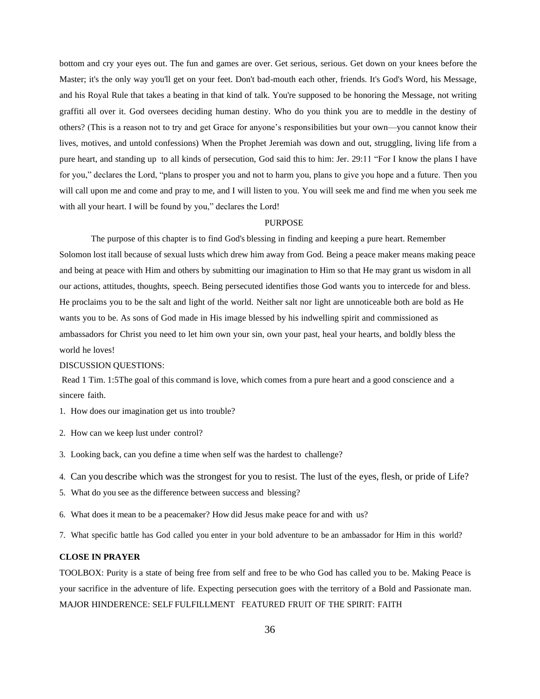bottom and cry your eyes out. The fun and games are over. Get serious, serious. Get down on your knees before the Master; it's the only way you'll get on your feet. Don't bad-mouth each other, friends. It's God's Word, his Message, and his Royal Rule that takes a beating in that kind of talk. You're supposed to be honoring the Message, not writing graffiti all over it. God oversees deciding human destiny. Who do you think you are to meddle in the destiny of others? (This is a reason not to try and get Grace for anyone's responsibilities but your own—you cannot know their lives, motives, and untold confessions) When the Prophet Jeremiah was down and out, struggling, living life from a pure heart, and standing up to all kinds of persecution, God said this to him: Jer. 29:11 "For I know the plans I have for you," declares the Lord, "plans to prosper you and not to harm you, plans to give you hope and a future. Then you will call upon me and come and pray to me, and I will listen to you. You will seek me and find me when you seek me with all your heart. I will be found by you," declares the Lord!

# PURPOSE

The purpose of this chapter is to find God's blessing in finding and keeping a pure heart. Remember Solomon lost itall because of sexual lusts which drew him away from God. Being a peace maker means making peace and being at peace with Him and others by submitting our imagination to Him so that He may grant us wisdom in all our actions, attitudes, thoughts, speech. Being persecuted identifies those God wants you to intercede for and bless. He proclaims you to be the salt and light of the world. Neither salt nor light are unnoticeable both are bold as He wants you to be. As sons of God made in His image blessed by his indwelling spirit and commissioned as ambassadors for Christ you need to let him own your sin, own your past, heal your hearts, and boldly bless the world he loves!

# DISCUSSION QUESTIONS:

Read 1 Tim. 1:5The goal of this command is love, which comes from a pure heart and a good conscience and a sincere faith.

- 1. How does our imagination get us into trouble?
- 2. How can we keep lust under control?
- 3. Looking back, can you define a time when self was the hardest to challenge?
- 4. Can you describe which was the strongest for you to resist. The lust of the eyes, flesh, or pride of Life?
- 5. What do you see as the difference between success and blessing?
- 6. What does it mean to be a peacemaker? How did Jesus make peace for and with us?
- 7. What specific battle has God called you enter in your bold adventure to be an ambassador for Him in this world?

# **CLOSE IN PRAYER**

TOOLBOX: Purity is a state of being free from self and free to be who God has called you to be. Making Peace is your sacrifice in the adventure of life. Expecting persecution goes with the territory of a Bold and Passionate man. MAJOR HINDERENCE: SELF FULFILLMENT FEATURED FRUIT OF THE SPIRIT: FAITH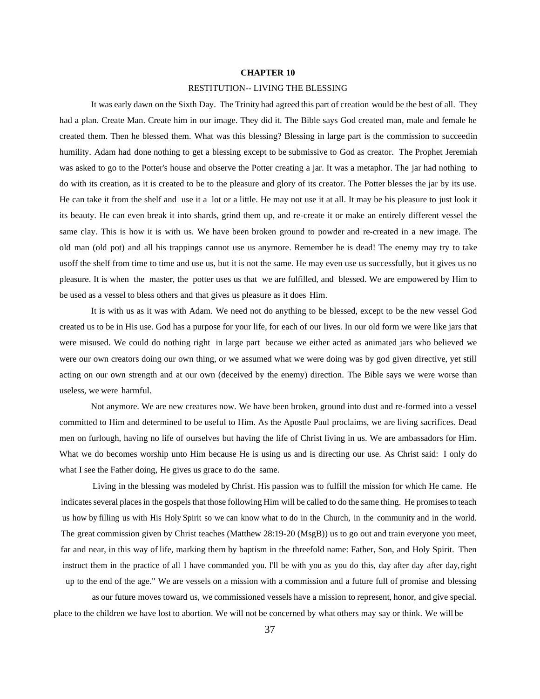### **CHAPTER 10**

#### RESTITUTION-- LIVING THE BLESSING

It was early dawn on the Sixth Day. The Trinity had agreed this part of creation would be the best of all. They had a plan. Create Man. Create him in our image. They did it. The Bible says God created man, male and female he created them. Then he blessed them. What was this blessing? Blessing in large part is the commission to succeedin humility. Adam had done nothing to get a blessing except to be submissive to God as creator. The Prophet Jeremiah was asked to go to the Potter's house and observe the Potter creating a jar. It was a metaphor. The jar had nothing to do with its creation, as it is created to be to the pleasure and glory of its creator. The Potter blesses the jar by its use. He can take it from the shelf and use it a lot or a little. He may not use it at all. It may be his pleasure to just look it its beauty. He can even break it into shards, grind them up, and re-create it or make an entirely different vessel the same clay. This is how it is with us. We have been broken ground to powder and re-created in a new image. The old man (old pot) and all his trappings cannot use us anymore. Remember he is dead! The enemy may try to take usoff the shelf from time to time and use us, but it is not the same. He may even use us successfully, but it gives us no pleasure. It is when the master, the potter uses us that we are fulfilled, and blessed. We are empowered by Him to be used as a vessel to bless others and that gives us pleasure as it does Him.

It is with us as it was with Adam. We need not do anything to be blessed, except to be the new vessel God created us to be in His use. God has a purpose for your life, for each of our lives. In our old form we were like jars that were misused. We could do nothing right in large part because we either acted as animated jars who believed we were our own creators doing our own thing, or we assumed what we were doing was by god given directive, yet still acting on our own strength and at our own (deceived by the enemy) direction. The Bible says we were worse than useless, we were harmful.

Not anymore. We are new creatures now. We have been broken, ground into dust and re-formed into a vessel committed to Him and determined to be useful to Him. As the Apostle Paul proclaims, we are living sacrifices. Dead men on furlough, having no life of ourselves but having the life of Christ living in us. We are ambassadors for Him. What we do becomes worship unto Him because He is using us and is directing our use. As Christ said: I only do what I see the Father doing, He gives us grace to do the same.

Living in the blessing was modeled by Christ. His passion was to fulfill the mission for which He came. He indicates several places in the gospels that those following Him will be called to do the same thing. He promises to teach us how by filling us with His Holy Spirit so we can know what to do in the Church, in the community and in the world. The great commission given by Christ teaches (Matthew 28:19-20 (MsgB)) us to go out and train everyone you meet, far and near, in this way of life, marking them by baptism in the threefold name: Father, Son, and Holy Spirit. Then instruct them in the practice of all I have commanded you. I'll be with you as you do this, day after day after day, right up to the end of the age." We are vessels on a mission with a commission and a future full of promise and blessing

as our future moves toward us, we commissioned vessels have a mission to represent, honor, and give special. place to the children we have lost to abortion. We will not be concerned by what others may say or think. We will be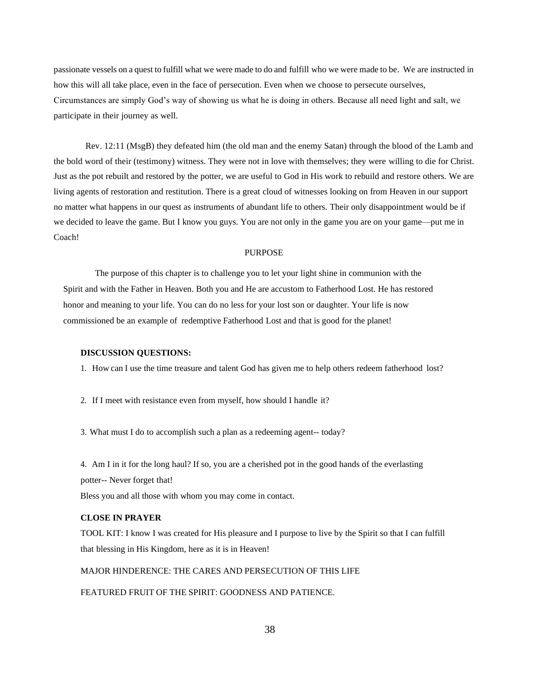passionate vessels on a quest to fulfill what we were made to do and fulfill who we were made to be. We are instructed in how this will all take place, even in the face of persecution. Even when we choose to persecute ourselves, Circumstances are simply God's way of showing us what he is doing in others. Because all need light and salt, we participate in their journey as well.

Rev. 12:11 (MsgB) they defeated him (the old man and the enemy Satan) through the blood of the Lamb and the bold word of their (testimony) witness. They were not in love with themselves; they were willing to die for Christ. Just as the pot rebuilt and restored by the potter, we are useful to God in His work to rebuild and restore others. We are living agents of restoration and restitution. There is a great cloud of witnesses looking on from Heaven in our support no matter what happens in our quest as instruments of abundant life to others. Their only disappointment would be if we decided to leave the game. But I know you guys. You are not only in the game you are on your game—put me in Coach!

# PURPOSE

The purpose of this chapter is to challenge you to let your light shine in communion with the Spirit and with the Father in Heaven. Both you and He are accustom to Fatherhood Lost. He has restored honor and meaning to your life. You can do no less for your lost son or daughter. Your life is now commissioned be an example of redemptive Fatherhood Lost and that is good for the planet!

#### **DISCUSSION QUESTIONS:**

1. How can I use the time treasure and talent God has given me to help others redeem fatherhood lost?

2. If I meet with resistance even from myself, how should I handle it?

3. What must I do to accomplish such a plan as a redeeming agent-- today?

4. Am I in it for the long haul? If so, you are a cherished pot in the good hands of the everlasting potter-- Never forget that!

Bless you and all those with whom you may come in contact.

# **CLOSE IN PRAYER**

TOOL KIT: I know I was created for His pleasure and I purpose to live by the Spirit so that I can fulfill that blessing in His Kingdom, here as it is in Heaven!

MAJOR HINDERENCE: THE CARES AND PERSECUTION OF THIS LIFE

FEATURED FRUIT OF THE SPIRIT: GOODNESS AND PATIENCE.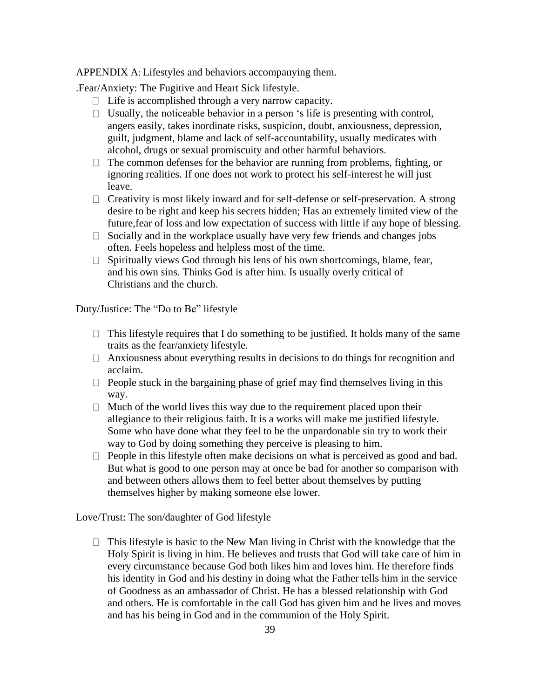APPENDIX A: Lifestyles and behaviors accompanying them.

.Fear/Anxiety: The Fugitive and Heart Sick lifestyle.

- $\Box$  Life is accomplished through a very narrow capacity.
- $\Box$  Usually, the noticeable behavior in a person 's life is presenting with control, angers easily, takes inordinate risks, suspicion, doubt, anxiousness, depression, guilt, judgment, blame and lack of self-accountability, usually medicates with alcohol, drugs or sexual promiscuity and other harmful behaviors.
- $\Box$  The common defenses for the behavior are running from problems, fighting, or ignoring realities. If one does not work to protect his self-interest he will just leave.
- $\Box$  Creativity is most likely inward and for self-defense or self-preservation. A strong desire to be right and keep his secrets hidden; Has an extremely limited view of the future,fear of loss and low expectation of success with little if any hope of blessing.
- $\Box$  Socially and in the workplace usually have very few friends and changes jobs often. Feels hopeless and helpless most of the time.
- Spiritually views God through his lens of his own shortcomings, blame, fear,  $\Box$ and his own sins. Thinks God is after him. Is usually overly critical of Christians and the church.

Duty/Justice: The "Do to Be" lifestyle

- $\Box$  This lifestyle requires that I do something to be justified. It holds many of the same traits as the fear/anxiety lifestyle.
- $\Box$  Anxiousness about everything results in decisions to do things for recognition and acclaim.
- $\Box$  People stuck in the bargaining phase of grief may find themselves living in this way.
- $\Box$  Much of the world lives this way due to the requirement placed upon their allegiance to their religious faith. It is a works will make me justified lifestyle. Some who have done what they feel to be the unpardonable sin try to work their way to God by doing something they perceive is pleasing to him.
- $\Box$  People in this lifestyle often make decisions on what is perceived as good and bad. But what is good to one person may at once be bad for another so comparison with and between others allows them to feel better about themselves by putting themselves higher by making someone else lower.

Love/Trust: The son/daughter of God lifestyle

 $\Box$  This lifestyle is basic to the New Man living in Christ with the knowledge that the Holy Spirit is living in him. He believes and trusts that God will take care of him in every circumstance because God both likes him and loves him. He therefore finds his identity in God and his destiny in doing what the Father tells him in the service of Goodness as an ambassador of Christ. He has a blessed relationship with God and others. He is comfortable in the call God has given him and he lives and moves and has his being in God and in the communion of the Holy Spirit.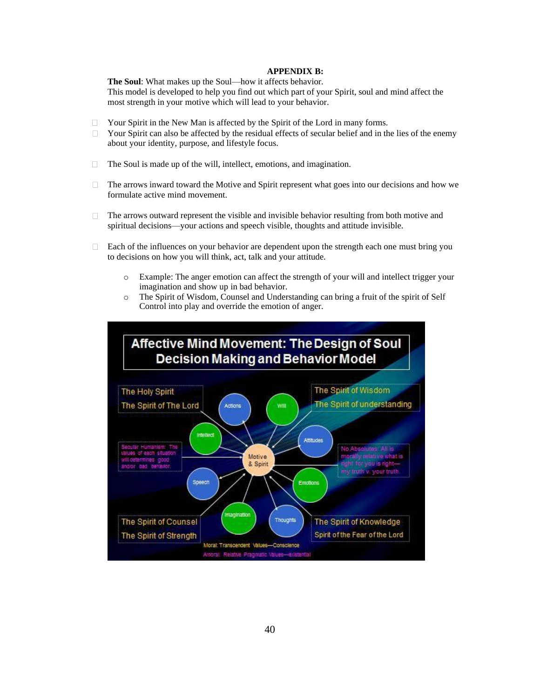#### **APPENDIX B:**

**The Soul**: What makes up the Soul—how it affects behavior. This model is developed to help you find out which part of your Spirit, soul and mind affect the most strength in your motive which will lead to your behavior.

- Your Spirit in the New Man is affected by the Spirit of the Lord in many forms.  $\Box$
- Your Spirit can also be affected by the residual effects of secular belief and in the lies of the enemy  $\Box$ about your identity, purpose, and lifestyle focus.
- $\Box$ The Soul is made up of the will, intellect, emotions, and imagination.
- The arrows inward toward the Motive and Spirit represent what goes into our decisions and how we  $\Box$ formulate active mind movement.
- The arrows outward represent the visible and invisible behavior resulting from both motive and  $\Box$ spiritual decisions—your actions and speech visible, thoughts and attitude invisible.
- Each of the influences on your behavior are dependent upon the strength each one must bring you  $\Box$ to decisions on how you will think, act, talk and your attitude.
	- o Example: The anger emotion can affect the strength of your will and intellect trigger your imagination and show up in bad behavior.
	- o The Spirit of Wisdom, Counsel and Understanding can bring a fruit of the spirit of Self Control into play and override the emotion of anger.

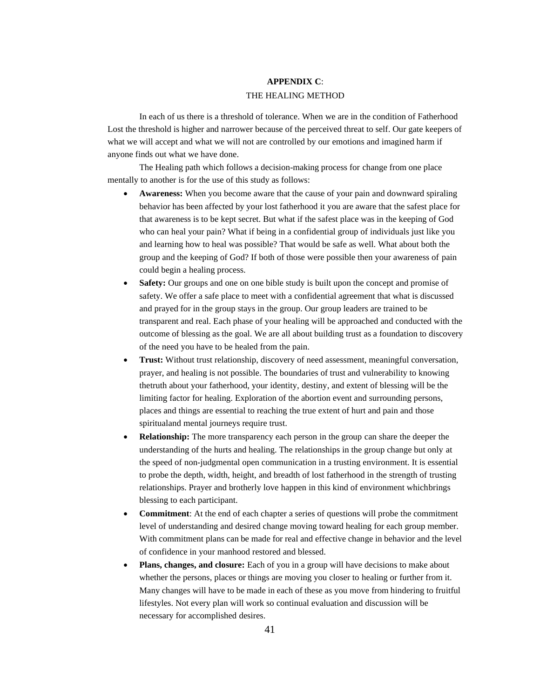# **APPENDIX C**: THE HEALING METHOD

In each of us there is a threshold of tolerance. When we are in the condition of Fatherhood Lost the threshold is higher and narrower because of the perceived threat to self. Our gate keepers of what we will accept and what we will not are controlled by our emotions and imagined harm if anyone finds out what we have done.

The Healing path which follows a decision-making process for change from one place mentally to another is for the use of this study as follows:

- **Awareness:** When you become aware that the cause of your pain and downward spiraling behavior has been affected by your lost fatherhood it you are aware that the safest place for that awareness is to be kept secret. But what if the safest place was in the keeping of God who can heal your pain? What if being in a confidential group of individuals just like you and learning how to heal was possible? That would be safe as well. What about both the group and the keeping of God? If both of those were possible then your awareness of pain could begin a healing process.
- **Safety:** Our groups and one on one bible study is built upon the concept and promise of safety. We offer a safe place to meet with a confidential agreement that what is discussed and prayed for in the group stays in the group. Our group leaders are trained to be transparent and real. Each phase of your healing will be approached and conducted with the outcome of blessing as the goal. We are all about building trust as a foundation to discovery of the need you have to be healed from the pain.
- **Trust:** Without trust relationship, discovery of need assessment, meaningful conversation, prayer, and healing is not possible. The boundaries of trust and vulnerability to knowing thetruth about your fatherhood, your identity, destiny, and extent of blessing will be the limiting factor for healing. Exploration of the abortion event and surrounding persons, places and things are essential to reaching the true extent of hurt and pain and those spiritualand mental journeys require trust.
- **Relationship:** The more transparency each person in the group can share the deeper the understanding of the hurts and healing. The relationships in the group change but only at the speed of non-judgmental open communication in a trusting environment. It is essential to probe the depth, width, height, and breadth of lost fatherhood in the strength of trusting relationships. Prayer and brotherly love happen in this kind of environment whichbrings blessing to each participant.
- **Commitment**: At the end of each chapter a series of questions will probe the commitment level of understanding and desired change moving toward healing for each group member. With commitment plans can be made for real and effective change in behavior and the level of confidence in your manhood restored and blessed.
- **Plans, changes, and closure:** Each of you in a group will have decisions to make about whether the persons, places or things are moving you closer to healing or further from it. Many changes will have to be made in each of these as you move from hindering to fruitful lifestyles. Not every plan will work so continual evaluation and discussion will be necessary for accomplished desires.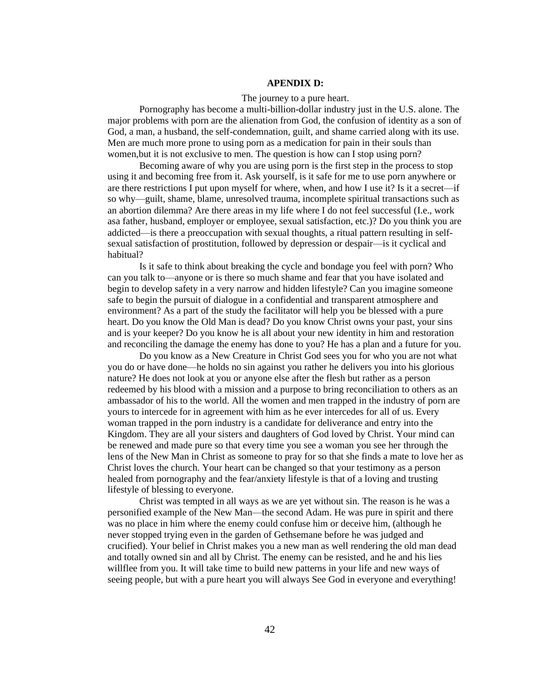# **APENDIX D:**

### The journey to a pure heart.

Pornography has become a multi-billion-dollar industry just in the U.S. alone. The major problems with porn are the alienation from God, the confusion of identity as a son of God, a man, a husband, the self-condemnation, guilt, and shame carried along with its use. Men are much more prone to using porn as a medication for pain in their souls than women,but it is not exclusive to men. The question is how can I stop using porn?

Becoming aware of why you are using porn is the first step in the process to stop using it and becoming free from it. Ask yourself, is it safe for me to use porn anywhere or are there restrictions I put upon myself for where, when, and how I use it? Is it a secret—if so why—guilt, shame, blame, unresolved trauma, incomplete spiritual transactions such as an abortion dilemma? Are there areas in my life where I do not feel successful (I.e., work asa father, husband, employer or employee, sexual satisfaction, etc.)? Do you think you are addicted—is there a preoccupation with sexual thoughts, a ritual pattern resulting in selfsexual satisfaction of prostitution, followed by depression or despair—is it cyclical and habitual?

Is it safe to think about breaking the cycle and bondage you feel with porn? Who can you talk to—anyone or is there so much shame and fear that you have isolated and begin to develop safety in a very narrow and hidden lifestyle? Can you imagine someone safe to begin the pursuit of dialogue in a confidential and transparent atmosphere and environment? As a part of the study the facilitator will help you be blessed with a pure heart. Do you know the Old Man is dead? Do you know Christ owns your past, your sins and is your keeper? Do you know he is all about your new identity in him and restoration and reconciling the damage the enemy has done to you? He has a plan and a future for you.

Do you know as a New Creature in Christ God sees you for who you are not what you do or have done—he holds no sin against you rather he delivers you into his glorious nature? He does not look at you or anyone else after the flesh but rather as a person redeemed by his blood with a mission and a purpose to bring reconciliation to others as an ambassador of his to the world. All the women and men trapped in the industry of porn are yours to intercede for in agreement with him as he ever intercedes for all of us. Every woman trapped in the porn industry is a candidate for deliverance and entry into the Kingdom. They are all your sisters and daughters of God loved by Christ. Your mind can be renewed and made pure so that every time you see a woman you see her through the lens of the New Man in Christ as someone to pray for so that she finds a mate to love her as Christ loves the church. Your heart can be changed so that your testimony as a person healed from pornography and the fear/anxiety lifestyle is that of a loving and trusting lifestyle of blessing to everyone.

Christ was tempted in all ways as we are yet without sin. The reason is he was a personified example of the New Man—the second Adam. He was pure in spirit and there was no place in him where the enemy could confuse him or deceive him, (although he never stopped trying even in the garden of Gethsemane before he was judged and crucified). Your belief in Christ makes you a new man as well rendering the old man dead and totally owned sin and all by Christ. The enemy can be resisted, and he and his lies willflee from you. It will take time to build new patterns in your life and new ways of seeing people, but with a pure heart you will always See God in everyone and everything!